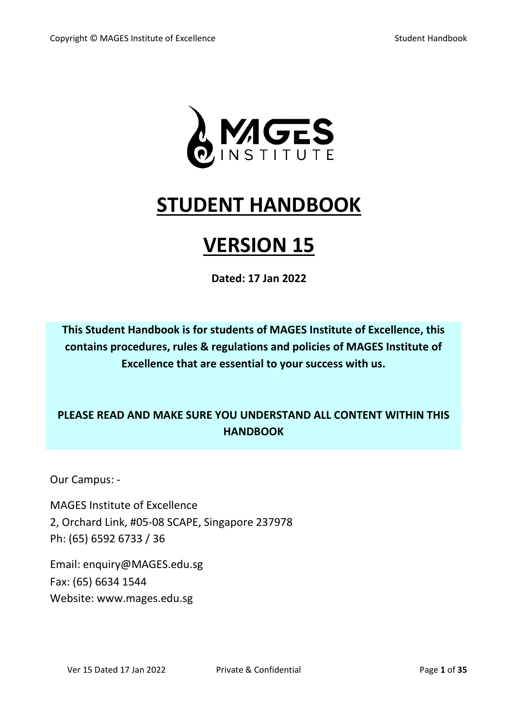

# **STUDENT HANDBOOK**

# **VERSION 15**

**Dated: 17 Jan 2022**

**This Student Handbook is for students of MAGES Institute of Excellence, this contains procedures, rules & regulations and policies of MAGES Institute of Excellence that are essential to your success with us.**

# **PLEASE READ AND MAKE SURE YOU UNDERSTAND ALL CONTENT WITHIN THIS HANDBOOK**

Our Campus: -

MAGES Institute of Excellence 2, Orchard Link, #05-08 SCAPE, Singapore 237978 Ph: (65) 6592 6733 / 36

Email: enquiry@MAGES.edu.sg Fax: (65) 6634 1544 Website: www.mages.edu.sg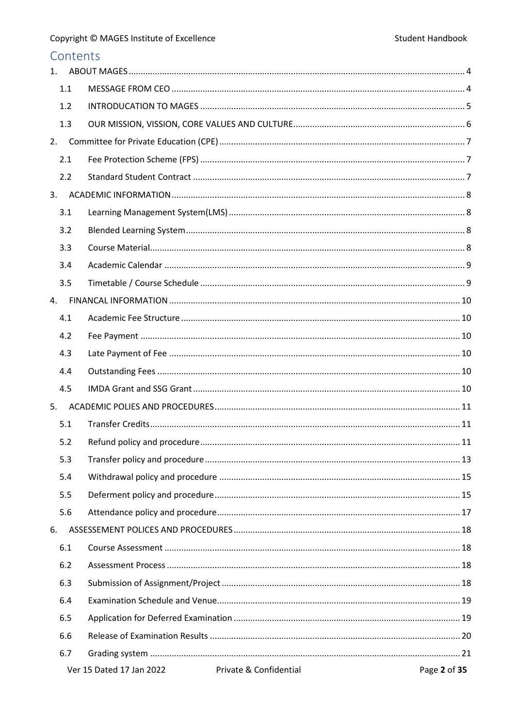| Contents |                          |                        |              |
|----------|--------------------------|------------------------|--------------|
| 1.       |                          |                        |              |
| 1.1      |                          |                        |              |
| 1.2      |                          |                        |              |
| 1.3      |                          |                        |              |
| 2.       |                          |                        |              |
| 2.1      |                          |                        |              |
| 2.2      |                          |                        |              |
| 3.       |                          |                        |              |
| 3.1      |                          |                        |              |
| 3.2      |                          |                        |              |
| 3.3      |                          |                        |              |
| 3.4      |                          |                        |              |
| 3.5      |                          |                        |              |
| 4.       |                          |                        |              |
| 4.1      |                          |                        |              |
| 4.2      |                          |                        |              |
| 4.3      |                          |                        |              |
| 4.4      |                          |                        |              |
| 4.5      |                          |                        |              |
| 5.       |                          |                        |              |
| 5.1      |                          |                        |              |
| 5.2      |                          |                        |              |
| 5.3      |                          |                        |              |
| 5.4      |                          |                        |              |
| 5.5      |                          |                        |              |
| 5.6      |                          |                        |              |
| 6.       |                          |                        |              |
| 6.1      |                          |                        |              |
| 6.2      |                          |                        |              |
| 6.3      |                          |                        |              |
| 6.4      |                          |                        |              |
| 6.5      |                          |                        |              |
| 6.6      |                          |                        |              |
| 6.7      |                          |                        |              |
|          | Ver 15 Dated 17 Jan 2022 | Private & Confidential | Page 2 of 35 |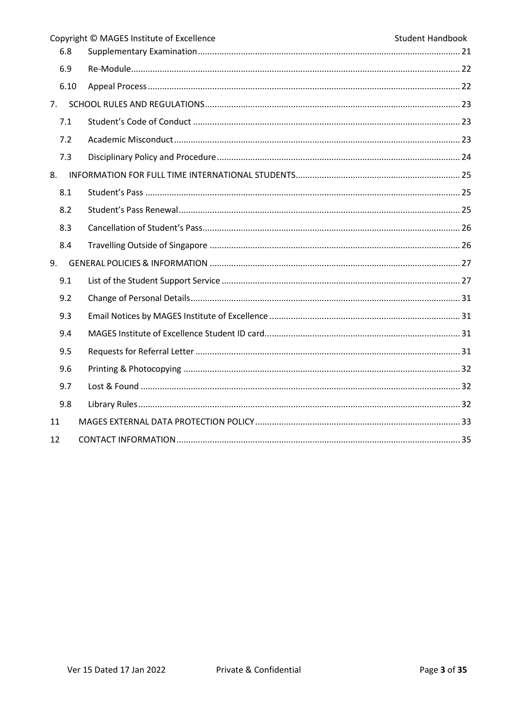|      | Copyright © MAGES Institute of Excellence | <b>Student Handbook</b> |
|------|-------------------------------------------|-------------------------|
| 6.8  |                                           |                         |
| 6.9  |                                           |                         |
| 6.10 |                                           |                         |
| 7.   |                                           |                         |
| 7.1  |                                           |                         |
| 7.2  |                                           |                         |
| 7.3  |                                           |                         |
| 8.   |                                           |                         |
| 8.1  |                                           |                         |
| 8.2  |                                           |                         |
| 8.3  |                                           |                         |
| 8.4  |                                           |                         |
| 9.   |                                           |                         |
| 9.1  |                                           |                         |
| 9.2  |                                           |                         |
| 9.3  |                                           |                         |
| 9.4  |                                           |                         |
| 9.5  |                                           |                         |
| 9.6  |                                           |                         |
| 9.7  |                                           |                         |
| 9.8  |                                           |                         |
| 11   |                                           |                         |
| 12   |                                           |                         |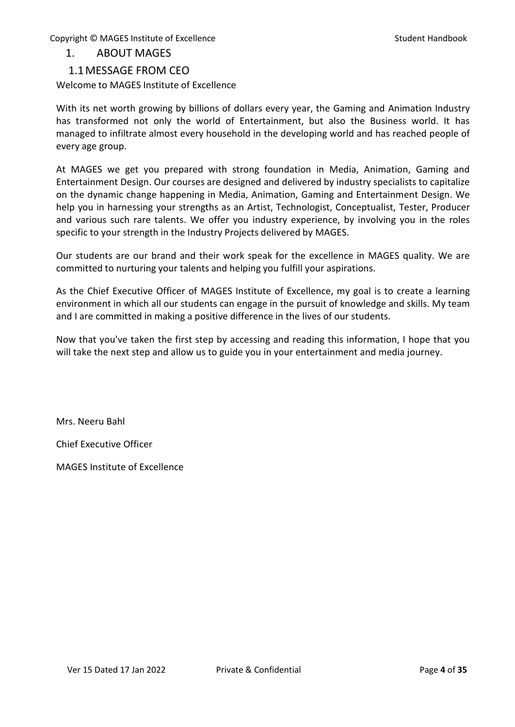#### <span id="page-3-0"></span>1. ABOUT MAGES

#### 1.1MESSAGE FROM CEO

<span id="page-3-1"></span>Welcome to MAGES Institute of Excellence

With its net worth growing by billions of dollars every year, the Gaming and Animation Industry has transformed not only the world of Entertainment, but also the Business world. It has managed to infiltrate almost every household in the developing world and has reached people of every age group.

At MAGES we get you prepared with strong foundation in Media, Animation, Gaming and Entertainment Design. Our courses are designed and delivered by industry specialists to capitalize on the dynamic change happening in Media, Animation, Gaming and Entertainment Design. We help you in harnessing your strengths as an Artist, Technologist, Conceptualist, Tester, Producer and various such rare talents. We offer you industry experience, by involving you in the roles specific to your strength in the Industry Projects delivered by MAGES.

Our students are our brand and their work speak for the excellence in MAGES quality. We are committed to nurturing your talents and helping you fulfill your aspirations.

As the Chief Executive Officer of MAGES Institute of Excellence, my goal is to create a learning environment in which all our students can engage in the pursuit of knowledge and skills. My team and I are committed in making a positive difference in the lives of our students.

Now that you've taken the first step by accessing and reading this information, I hope that you will take the next step and allow us to guide you in your entertainment and media journey.

Mrs. Neeru Bahl

Chief Executive Officer

MAGES Institute of Excellence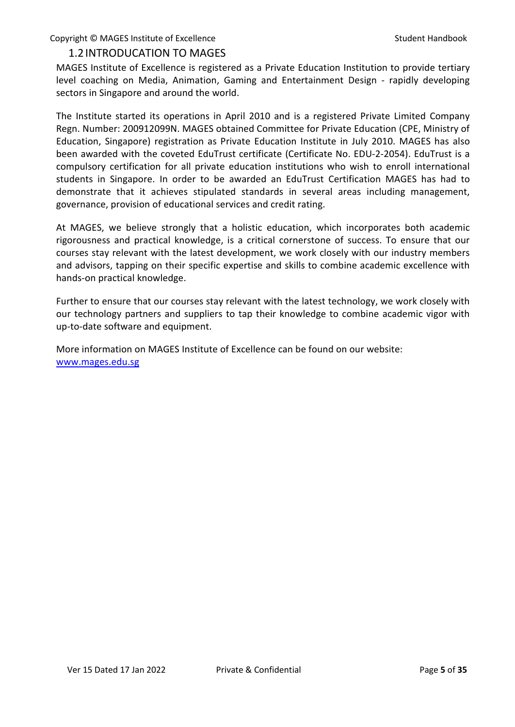## <span id="page-4-0"></span>1.2INTRODUCATION TO MAGES

MAGES Institute of Excellence is registered as a Private Education Institution to provide tertiary level coaching on Media, Animation, Gaming and Entertainment Design - rapidly developing sectors in Singapore and around the world.

The Institute started its operations in April 2010 and is a registered Private Limited Company Regn. Number: 200912099N. MAGES obtained Committee for Private Education (CPE, Ministry of Education, Singapore) registration as Private Education Institute in July 2010. MAGES has also been awarded with the coveted EduTrust certificate (Certificate No. EDU-2-2054). EduTrust is a compulsory certification for all private education institutions who wish to enroll international students in Singapore. In order to be awarded an EduTrust Certification MAGES has had to demonstrate that it achieves stipulated standards in several areas including management, governance, provision of educational services and credit rating.

At MAGES, we believe strongly that a holistic education, which incorporates both academic rigorousness and practical knowledge, is a critical cornerstone of success. To ensure that our courses stay relevant with the latest development, we work closely with our industry members and advisors, tapping on their specific expertise and skills to combine academic excellence with hands-on practical knowledge.

Further to ensure that our courses stay relevant with the latest technology, we work closely with our technology partners and suppliers to tap their knowledge to combine academic vigor with up-to-date software and equipment.

More information on MAGES Institute of Excellence can be found on our website: [www.mages.edu.sg](http://www.mages.edu.sg/)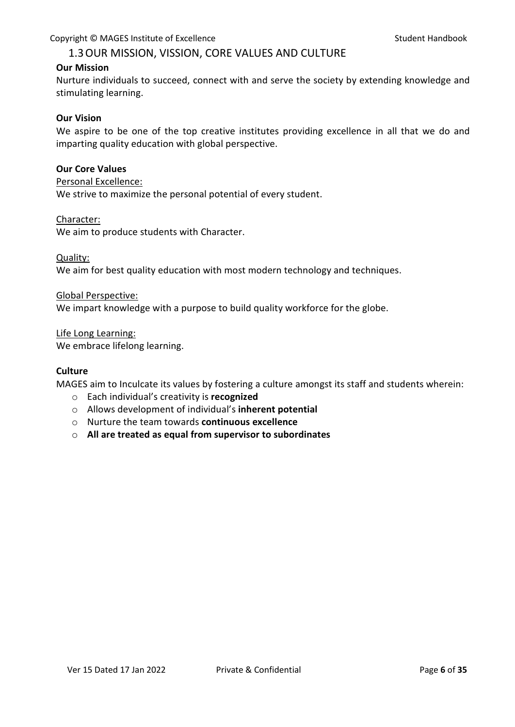## 1.3OUR MISSION, VISSION, CORE VALUES AND CULTURE

#### <span id="page-5-0"></span>**Our Mission**

Nurture individuals to succeed, connect with and serve the society by extending knowledge and stimulating learning.

#### **Our Vision**

We aspire to be one of the top creative institutes providing excellence in all that we do and imparting quality education with global perspective.

#### **Our Core Values**

#### Personal Excellence:

We strive to maximize the personal potential of every student.

#### Character:

We aim to produce students with Character.

#### Quality:

We aim for best quality education with most modern technology and techniques.

#### Global Perspective:

We impart knowledge with a purpose to build quality workforce for the globe.

#### Life Long Learning:

We embrace lifelong learning.

#### **Culture**

MAGES aim to Inculcate its values by fostering a culture amongst its staff and students wherein:

- o Each individual's creativity is **recognized**
- o Allows development of individual's **inherent potential**
- o Nurture the team towards **continuous excellence**
- o **All are treated as equal from supervisor to subordinates**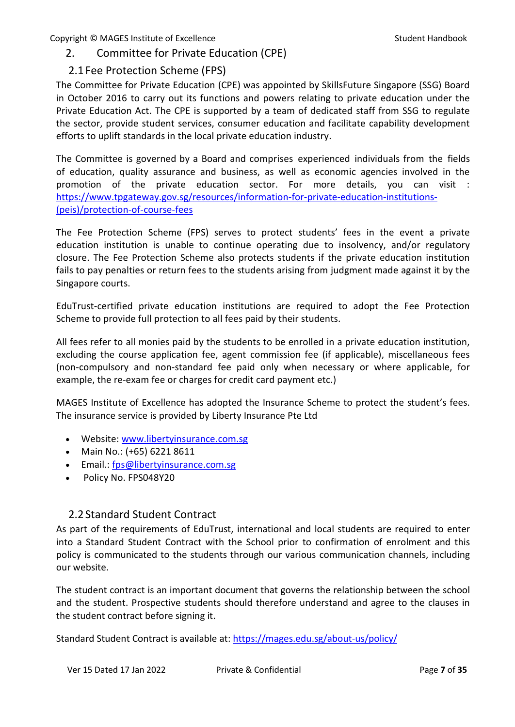# <span id="page-6-0"></span>2. Committee for Private Education (CPE)

# 2.1Fee Protection Scheme (FPS)

<span id="page-6-1"></span>The Committee for Private Education (CPE) was appointed by SkillsFuture Singapore (SSG) Board in October 2016 to carry out its functions and powers relating to private education under the Private Education Act. The CPE is supported by a team of dedicated staff from SSG to regulate the sector, provide student services, consumer education and facilitate capability development efforts to uplift standards in the local private education industry.

The Committee is governed by a Board and comprises experienced individuals from the fields of education, quality assurance and business, as well as economic agencies involved in the promotion of the private education sector. For more details, you can visit : [https://www.tpgateway.gov.sg/resources/information-for-private-education-institutions-](https://www.tpgateway.gov.sg/resources/information-for-private-education-institutions-(peis)/protection-of-course-fees) [\(peis\)/protection-of-course-fees](https://www.tpgateway.gov.sg/resources/information-for-private-education-institutions-(peis)/protection-of-course-fees)

The Fee Protection Scheme (FPS) serves to protect students' fees in the event a private education institution is unable to continue operating due to insolvency, and/or regulatory closure. The Fee Protection Scheme also protects students if the private education institution fails to pay penalties or return fees to the students arising from judgment made against it by the Singapore courts.

EduTrust-certified private education institutions are required to adopt the Fee Protection Scheme to provide full protection to all fees paid by their students.

All fees refer to all monies paid by the students to be enrolled in a private education institution, excluding the course application fee, agent commission fee (if applicable), miscellaneous fees (non-compulsory and non-standard fee paid only when necessary or where applicable, for example, the re-exam fee or charges for credit card payment etc.)

MAGES Institute of Excellence has adopted the Insurance Scheme to protect the student's fees. The insurance service is provided by Liberty Insurance Pte Ltd

- Website: [www.libertyinsurance.com.sg](http://www.libertyinsurance.com.sg/)
- Main No.: (+65) 6221 8611
- Email.: [fps@libertyinsurance.com.sg](mailto:fps@libertyinsurance.com.sg)
- Policy No. FPS048Y20

# 2.2Standard Student Contract

<span id="page-6-2"></span>As part of the requirements of EduTrust, international and local students are required to enter into a Standard Student Contract with the School prior to confirmation of enrolment and this policy is communicated to the students through our various communication channels, including our website.

The student contract is an important document that governs the relationship between the school and the student. Prospective students should therefore understand and agree to the clauses in the student contract before signing it.

Standard Student Contract is available at:<https://mages.edu.sg/about-us/policy/>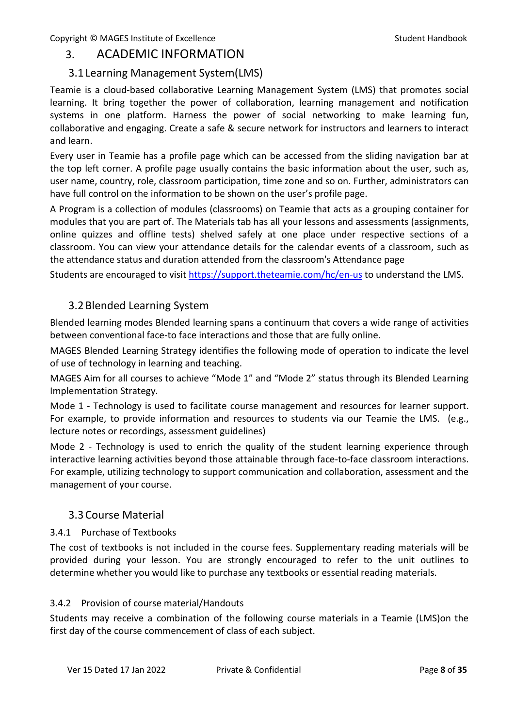# <span id="page-7-0"></span>3. ACADEMIC INFORMATION

# <span id="page-7-1"></span>3.1Learning Management System(LMS)

Teamie is a cloud-based collaborative Learning Management System (LMS) that promotes social learning. It bring together the power of collaboration, learning management and notification systems in one platform. Harness the power of social networking to make learning fun, collaborative and engaging. Create a safe & secure network for instructors and learners to interact and learn.

Every user in Teamie has a profile page which can be accessed from the sliding navigation bar at the top left corner. A profile page usually contains the basic information about the user, such as, user name, country, role, classroom participation, time zone and so on. Further, administrators can have full control on the information to be shown on the user's profile page.

A Program is a collection of modules (classrooms) on Teamie that acts as a grouping container for modules that you are part of. The Materials tab has all your lessons and assessments (assignments, online quizzes and offline tests) shelved safely at one place under respective sections of a classroom. You can view your attendance details for the calendar events of a classroom, such as the attendance status and duration attended from the classroom's Attendance page

Students are encouraged to visit<https://support.theteamie.com/hc/en-us> to understand the LMS.

# <span id="page-7-2"></span>3.2Blended Learning System

Blended learning modes Blended learning spans a continuum that covers a wide range of activities between conventional face-to face interactions and those that are fully online.

MAGES Blended Learning Strategy identifies the following mode of operation to indicate the level of use of technology in learning and teaching.

MAGES Aim for all courses to achieve "Mode 1" and "Mode 2" status through its Blended Learning Implementation Strategy.

Mode 1 - Technology is used to facilitate course management and resources for learner support. For example, to provide information and resources to students via our Teamie the LMS. (e.g., lecture notes or recordings, assessment guidelines)

Mode 2 - Technology is used to enrich the quality of the student learning experience through interactive learning activities beyond those attainable through face-to-face classroom interactions. For example, utilizing technology to support communication and collaboration, assessment and the management of your course.

# <span id="page-7-3"></span>3.3Course Material

## 3.4.1 Purchase of Textbooks

The cost of textbooks is not included in the course fees. Supplementary reading materials will be provided during your lesson. You are strongly encouraged to refer to the unit outlines to determine whether you would like to purchase any textbooks or essential reading materials.

## 3.4.2 Provision of course material/Handouts

Students may receive a combination of the following course materials in a Teamie (LMS)on the first day of the course commencement of class of each subject.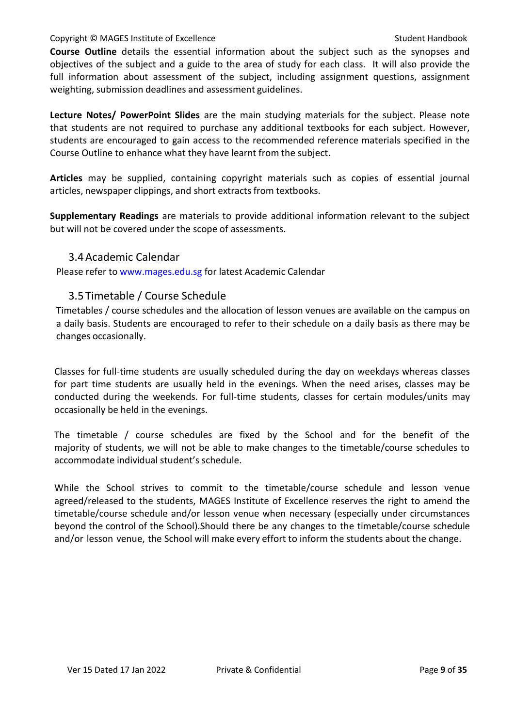**Course Outline** details the essential information about the subject such as the synopses and objectives of the subject and a guide to the area of study for each class. It will also provide the full information about assessment of the subject, including assignment questions, assignment weighting, submission deadlines and assessment guidelines.

**Lecture Notes/ PowerPoint Slides** are the main studying materials for the subject. Please note that students are not required to purchase any additional textbooks for each subject. However, students are encouraged to gain access to the recommended reference materials specified in the Course Outline to enhance what they have learnt from the subject.

**Articles** may be supplied, containing copyright materials such as copies of essential journal articles, newspaper clippings, and short extracts from textbooks.

**Supplementary Readings** are materials to provide additional information relevant to the subject but will not be covered under the scope of assessments.

#### 3.4Academic Calendar

<span id="page-8-0"></span>Please refer to [www.mages.edu.sg](http://www.mages.edu.sg/) for latest Academic Calendar

## 3.5Timetable / Course Schedule

<span id="page-8-1"></span>Timetables / course schedules and the allocation of lesson venues are available on the campus on a daily basis. Students are encouraged to refer to their schedule on a daily basis as there may be changes occasionally.

Classes for full-time students are usually scheduled during the day on weekdays whereas classes for part time students are usually held in the evenings. When the need arises, classes may be conducted during the weekends. For full-time students, classes for certain modules/units may occasionally be held in the evenings.

The timetable / course schedules are fixed by the School and for the benefit of the majority of students, we will not be able to make changes to the timetable/course schedules to accommodate individual student's schedule.

While the School strives to commit to the timetable/course schedule and lesson venue agreed/released to the students, MAGES Institute of Excellence reserves the right to amend the timetable/course schedule and/or lesson venue when necessary (especially under circumstances beyond the control of the School).Should there be any changes to the timetable/course schedule and/or lesson venue, the School will make every effort to inform the students about the change.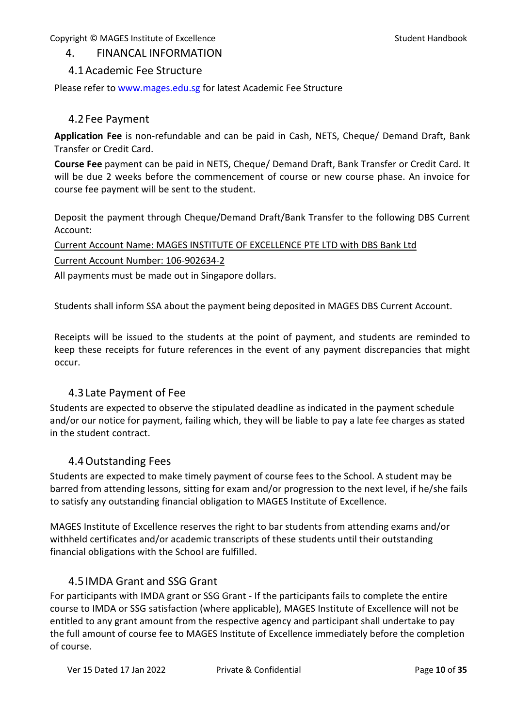# <span id="page-9-0"></span>4. FINANCAL INFORMATION

## <span id="page-9-1"></span>4.1Academic Fee Structure

Please refer to [www.mages.edu.sg](http://www.mages.edu.sg/) for latest Academic Fee Structure

## <span id="page-9-2"></span>4.2Fee Payment

**Application Fee** is non-refundable and can be paid in Cash, NETS, Cheque/ Demand Draft, Bank Transfer or Credit Card.

**Course Fee** payment can be paid in NETS, Cheque/ Demand Draft, Bank Transfer or Credit Card. It will be due 2 weeks before the commencement of course or new course phase. An invoice for course fee payment will be sent to the student.

Deposit the payment through Cheque/Demand Draft/Bank Transfer to the following DBS Current Account:

Current Account Name: MAGES INSTITUTE OF EXCELLENCE PTE LTD with DBS Bank Ltd Current Account Number: 106-902634-2

All payments must be made out in Singapore dollars.

Students shall inform SSA about the payment being deposited in MAGES DBS Current Account.

Receipts will be issued to the students at the point of payment, and students are reminded to keep these receipts for future references in the event of any payment discrepancies that might occur.

# 4.3Late Payment of Fee

<span id="page-9-3"></span>Students are expected to observe the stipulated deadline as indicated in the payment schedule and/or our notice for payment, failing which, they will be liable to pay a late fee charges as stated in the student contract.

# 4.4Outstanding Fees

<span id="page-9-4"></span>Students are expected to make timely payment of course fees to the School. A student may be barred from attending lessons, sitting for exam and/or progression to the next level, if he/she fails to satisfy any outstanding financial obligation to MAGES Institute of Excellence.

MAGES Institute of Excellence reserves the right to bar students from attending exams and/or withheld certificates and/or academic transcripts of these students until their outstanding financial obligations with the School are fulfilled.

# 4.5IMDA Grant and SSG Grant

<span id="page-9-5"></span>For participants with IMDA grant or SSG Grant - If the participants fails to complete the entire course to IMDA or SSG satisfaction (where applicable), MAGES Institute of Excellence will not be entitled to any grant amount from the respective agency and participant shall undertake to pay the full amount of course fee to MAGES Institute of Excellence immediately before the completion of course.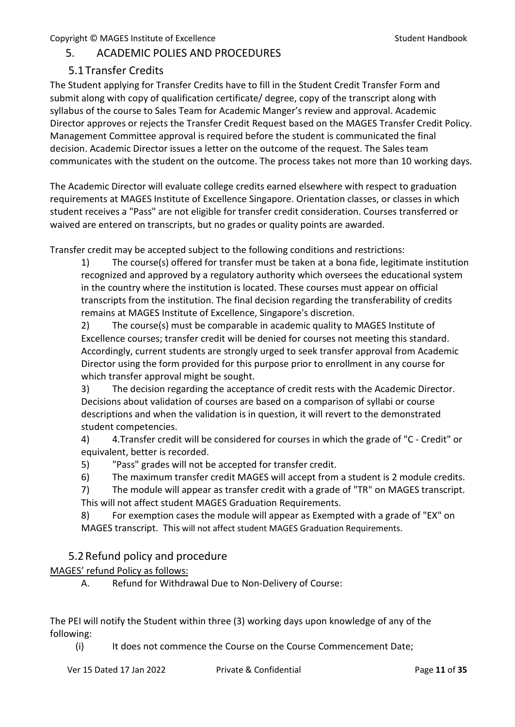# <span id="page-10-0"></span>5. ACADEMIC POLIES AND PROCEDURES

# 5.1Transfer Credits

<span id="page-10-1"></span>The Student applying for Transfer Credits have to fill in the Student Credit Transfer Form and submit along with copy of qualification certificate/ degree, copy of the transcript along with syllabus of the course to Sales Team for Academic Manger's review and approval. Academic Director approves or rejects the Transfer Credit Request based on the MAGES Transfer Credit Policy. Management Committee approval is required before the student is communicated the final decision. Academic Director issues a letter on the outcome of the request. The Sales team communicates with the student on the outcome. The process takes not more than 10 working days.

The Academic Director will evaluate college credits earned elsewhere with respect to graduation requirements at MAGES Institute of Excellence Singapore. Orientation classes, or classes in which student receives a "Pass" are not eligible for transfer credit consideration. Courses transferred or waived are entered on transcripts, but no grades or quality points are awarded.

Transfer credit may be accepted subject to the following conditions and restrictions:

1) The course(s) offered for transfer must be taken at a bona fide, legitimate institution recognized and approved by a regulatory authority which oversees the educational system in the country where the institution is located. These courses must appear on official transcripts from the institution. The final decision regarding the transferability of credits remains at MAGES Institute of Excellence, Singapore's discretion.

2) The course(s) must be comparable in academic quality to MAGES Institute of Excellence courses; transfer credit will be denied for courses not meeting this standard. Accordingly, current students are strongly urged to seek transfer approval from Academic Director using the form provided for this purpose prior to enrollment in any course for which transfer approval might be sought.

3) The decision regarding the acceptance of credit rests with the Academic Director. Decisions about validation of courses are based on a comparison of syllabi or course descriptions and when the validation is in question, it will revert to the demonstrated student competencies.

4) 4.Transfer credit will be considered for courses in which the grade of "C - Credit" or equivalent, better is recorded.

5) "Pass" grades will not be accepted for transfer credit.

6) The maximum transfer credit MAGES will accept from a student is 2 module credits.

7) The module will appear as transfer credit with a grade of "TR" on MAGES transcript. This will not affect student MAGES Graduation Requirements.

8) For exemption cases the module will appear as Exempted with a grade of "EX" on MAGES transcript. This will not affect student MAGES Graduation Requirements.

# <span id="page-10-2"></span>5.2Refund policy and procedure

MAGES' refund Policy as follows:

A. Refund for Withdrawal Due to Non-Delivery of Course:

The PEI will notify the Student within three (3) working days upon knowledge of any of the following:

(i) It does not commence the Course on the Course Commencement Date;

Ver 15 Dated 17 Jan 2022 Private & Confidential Page **11** of **35**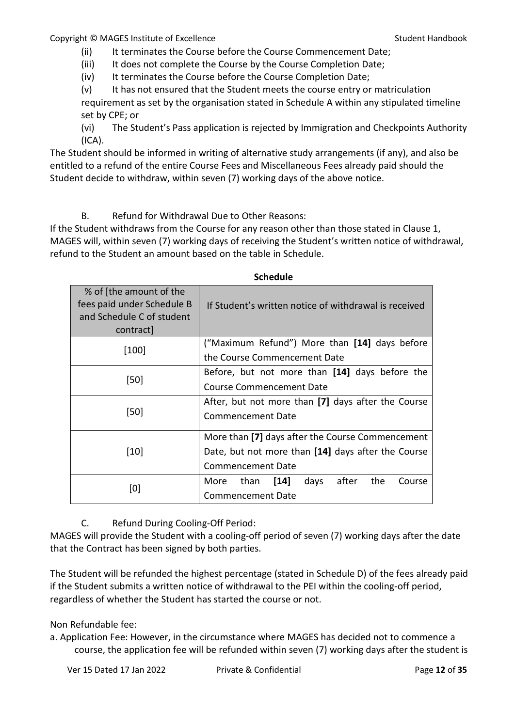(ii) It terminates the Course before the Course Commencement Date;

(iii) It does not complete the Course by the Course Completion Date;

(iv) It terminates the Course before the Course Completion Date;

(v) It has not ensured that the Student meets the course entry or matriculation

requirement as set by the organisation stated in Schedule A within any stipulated timeline set by CPE; or

(vi) The Student's Pass application is rejected by Immigration and Checkpoints Authority (ICA).

The Student should be informed in writing of alternative study arrangements (if any), and also be entitled to a refund of the entire Course Fees and Miscellaneous Fees already paid should the Student decide to withdraw, within seven (7) working days of the above notice.

B. Refund for Withdrawal Due to Other Reasons:

If the Student withdraws from the Course for any reason other than those stated in Clause 1, MAGES will, within seven (7) working days of receiving the Student's written notice of withdrawal, refund to the Student an amount based on the table in Schedule.

**Schedule**

|                                                                                                 | scheuule                                                 |
|-------------------------------------------------------------------------------------------------|----------------------------------------------------------|
| % of [the amount of the<br>fees paid under Schedule B<br>and Schedule C of student<br>contract] | If Student's written notice of withdrawal is received    |
| [100]                                                                                           | ("Maximum Refund") More than [14] days before            |
|                                                                                                 | the Course Commencement Date                             |
|                                                                                                 | Before, but not more than [14] days before the           |
| [50]                                                                                            | <b>Course Commencement Date</b>                          |
|                                                                                                 | After, but not more than [7] days after the Course       |
| [50]                                                                                            | <b>Commencement Date</b>                                 |
|                                                                                                 | More than [7] days after the Course Commencement         |
| $[10]$                                                                                          | Date, but not more than [14] days after the Course       |
|                                                                                                 | Commencement Date                                        |
|                                                                                                 | after<br>the<br>than<br>$[14]$<br>days<br>Course<br>More |
| [0]                                                                                             | Commencement Date                                        |
|                                                                                                 |                                                          |

C. Refund During Cooling-Off Period:

MAGES will provide the Student with a cooling-off period of seven (7) working days after the date that the Contract has been signed by both parties.

The Student will be refunded the highest percentage (stated in Schedule D) of the fees already paid if the Student submits a written notice of withdrawal to the PEI within the cooling-off period, regardless of whether the Student has started the course or not.

Non Refundable fee:

a. Application Fee: However, in the circumstance where MAGES has decided not to commence a course, the application fee will be refunded within seven (7) working days after the student is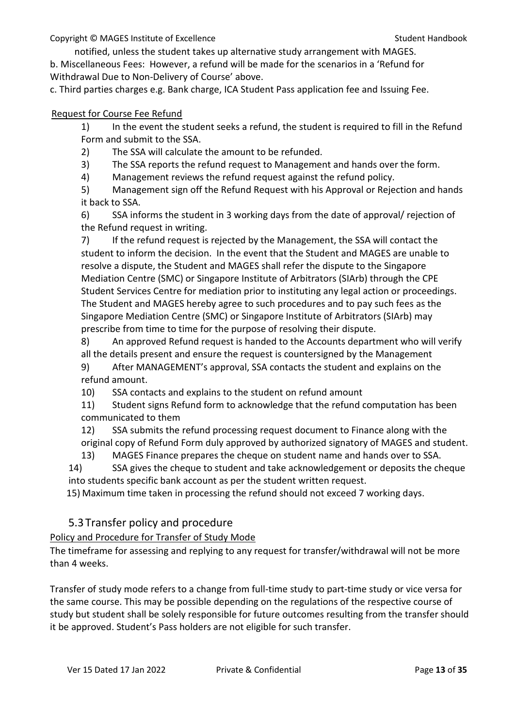notified, unless the student takes up alternative study arrangement with MAGES. b. Miscellaneous Fees: However, a refund will be made for the scenarios in a 'Refund for Withdrawal Due to Non-Delivery of Course' above.

c. Third parties charges e.g. Bank charge, ICA Student Pass application fee and Issuing Fee.

#### Request for Course Fee Refund

1) In the event the student seeks a refund, the student is required to fill in the Refund Form and submit to the SSA.

2) The SSA will calculate the amount to be refunded.

3) The SSA reports the refund request to Management and hands over the form.

4) Management reviews the refund request against the refund policy.

5) Management sign off the Refund Request with his Approval or Rejection and hands it back to SSA.

6) SSA informs the student in 3 working days from the date of approval/ rejection of the Refund request in writing.

7) If the refund request is rejected by the Management, the SSA will contact the student to inform the decision. In the event that the Student and MAGES are unable to resolve a dispute, the Student and MAGES shall refer the dispute to the Singapore Mediation Centre (SMC) or Singapore Institute of Arbitrators (SIArb) through the CPE Student Services Centre for mediation prior to instituting any legal action or proceedings. The Student and MAGES hereby agree to such procedures and to pay such fees as the Singapore Mediation Centre (SMC) or Singapore Institute of Arbitrators (SIArb) may prescribe from time to time for the purpose of resolving their dispute.

8) An approved Refund request is handed to the Accounts department who will verify all the details present and ensure the request is countersigned by the Management

9) After MANAGEMENT's approval, SSA contacts the student and explains on the refund amount.

10) SSA contacts and explains to the student on refund amount

11) Student signs Refund form to acknowledge that the refund computation has been communicated to them

12) SSA submits the refund processing request document to Finance along with the original copy of Refund Form duly approved by authorized signatory of MAGES and student.

13) MAGES Finance prepares the cheque on student name and hands over to SSA.

14) SSA gives the cheque to student and take acknowledgement or deposits the cheque into students specific bank account as per the student written request.

15) Maximum time taken in processing the refund should not exceed 7 working days.

# <span id="page-12-0"></span>5.3Transfer policy and procedure

## Policy and Procedure for Transfer of Study Mode

The timeframe for assessing and replying to any request for transfer/withdrawal will not be more than 4 weeks.

Transfer of study mode refers to a change from full-time study to part-time study or vice versa for the same course. This may be possible depending on the regulations of the respective course of study but student shall be solely responsible for future outcomes resulting from the transfer should it be approved. Student's Pass holders are not eligible for such transfer.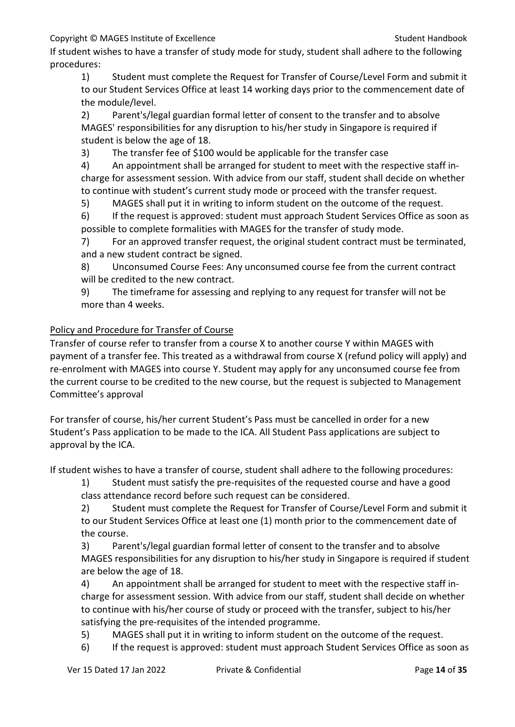If student wishes to have a transfer of study mode for study, student shall adhere to the following procedures:

1) Student must complete the Request for Transfer of Course/Level Form and submit it to our Student Services Office at least 14 working days prior to the commencement date of the module/level.

2) Parent's/legal guardian formal letter of consent to the transfer and to absolve MAGES' responsibilities for any disruption to his/her study in Singapore is required if student is below the age of 18.

3) The transfer fee of \$100 would be applicable for the transfer case

4) An appointment shall be arranged for student to meet with the respective staff incharge for assessment session. With advice from our staff, student shall decide on whether to continue with student's current study mode or proceed with the transfer request.

5) MAGES shall put it in writing to inform student on the outcome of the request.

6) If the request is approved: student must approach Student Services Office as soon as possible to complete formalities with MAGES for the transfer of study mode.

7) For an approved transfer request, the original student contract must be terminated, and a new student contract be signed.

8) Unconsumed Course Fees: Any unconsumed course fee from the current contract will be credited to the new contract.

9) The timeframe for assessing and replying to any request for transfer will not be more than 4 weeks.

# Policy and Procedure for Transfer of Course

Transfer of course refer to transfer from a course X to another course Y within MAGES with payment of a transfer fee. This treated as a withdrawal from course X (refund policy will apply) and re-enrolment with MAGES into course Y. Student may apply for any unconsumed course fee from the current course to be credited to the new course, but the request is subjected to Management Committee's approval

For transfer of course, his/her current Student's Pass must be cancelled in order for a new Student's Pass application to be made to the ICA. All Student Pass applications are subject to approval by the ICA.

If student wishes to have a transfer of course, student shall adhere to the following procedures:

1) Student must satisfy the pre-requisites of the requested course and have a good class attendance record before such request can be considered.

2) Student must complete the Request for Transfer of Course/Level Form and submit it to our Student Services Office at least one (1) month prior to the commencement date of the course.

3) Parent's/legal guardian formal letter of consent to the transfer and to absolve MAGES responsibilities for any disruption to his/her study in Singapore is required if student are below the age of 18.

4) An appointment shall be arranged for student to meet with the respective staff incharge for assessment session. With advice from our staff, student shall decide on whether to continue with his/her course of study or proceed with the transfer, subject to his/her satisfying the pre-requisites of the intended programme.

5) MAGES shall put it in writing to inform student on the outcome of the request.

6) If the request is approved: student must approach Student Services Office as soon as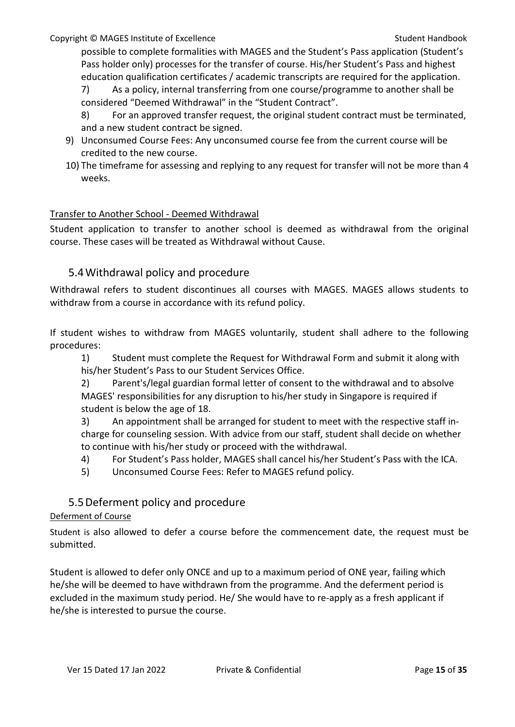possible to complete formalities with MAGES and the Student's Pass application (Student's Pass holder only) processes for the transfer of course. His/her Student's Pass and highest education qualification certificates / academic transcripts are required for the application.

7) As a policy, internal transferring from one course/programme to another shall be considered "Deemed Withdrawal" in the "Student Contract".

- 8) For an approved transfer request, the original student contract must be terminated, and a new student contract be signed.
- 9) Unconsumed Course Fees: Any unconsumed course fee from the current course will be credited to the new course.
- 10) The timeframe for assessing and replying to any request for transfer will not be more than 4 weeks.

## Transfer to Another School - Deemed Withdrawal

Student application to transfer to another school is deemed as withdrawal from the original course. These cases will be treated as Withdrawal without Cause.

# <span id="page-14-0"></span>5.4Withdrawal policy and procedure

Withdrawal refers to student discontinues all courses with MAGES. MAGES allows students to withdraw from a course in accordance with its refund policy.

If student wishes to withdraw from MAGES voluntarily, student shall adhere to the following procedures:

1) Student must complete the Request for Withdrawal Form and submit it along with his/her Student's Pass to our Student Services Office.

2) Parent's/legal guardian formal letter of consent to the withdrawal and to absolve MAGES' responsibilities for any disruption to his/her study in Singapore is required if student is below the age of 18.

3) An appointment shall be arranged for student to meet with the respective staff incharge for counseling session. With advice from our staff, student shall decide on whether to continue with his/her study or proceed with the withdrawal.

- 4) For Student's Pass holder, MAGES shall cancel his/her Student's Pass with the ICA.
- 5) Unconsumed Course Fees: Refer to MAGES refund policy.

# 5.5Deferment policy and procedure

## <span id="page-14-1"></span>Deferment of Course

Student is also allowed to defer a course before the commencement date, the request must be submitted.

Student is allowed to defer only ONCE and up to a maximum period of ONE year, failing which he/she will be deemed to have withdrawn from the programme. And the deferment period is excluded in the maximum study period. He/ She would have to re-apply as a fresh applicant if he/she is interested to pursue the course.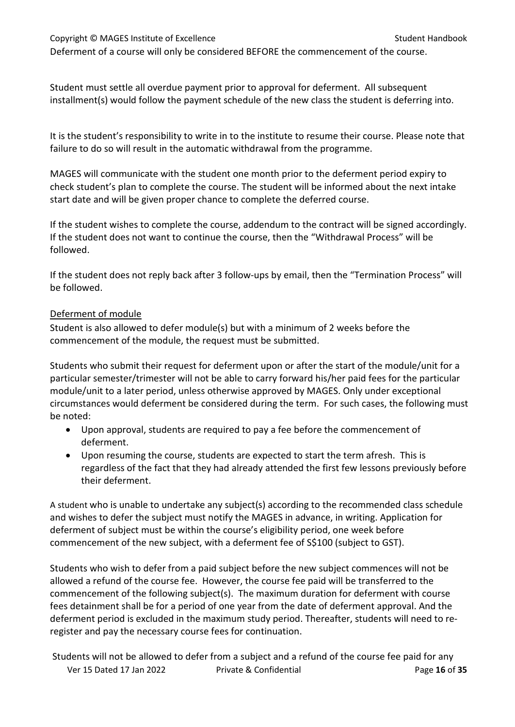# Copyright © MAGES Institute of Excellence Student Handbook Student Handbook Deferment of a course will only be considered BEFORE the commencement of the course.

Student must settle all overdue payment prior to approval for deferment. All subsequent installment(s) would follow the payment schedule of the new class the student is deferring into.

It is the student's responsibility to write in to the institute to resume their course. Please note that failure to do so will result in the automatic withdrawal from the programme.

MAGES will communicate with the student one month prior to the deferment period expiry to check student's plan to complete the course. The student will be informed about the next intake start date and will be given proper chance to complete the deferred course.

If the student wishes to complete the course, addendum to the contract will be signed accordingly. If the student does not want to continue the course, then the "Withdrawal Process" will be followed.

If the student does not reply back after 3 follow-ups by email, then the "Termination Process" will be followed.

## Deferment of module

Student is also allowed to defer module(s) but with a minimum of 2 weeks before the commencement of the module, the request must be submitted.

Students who submit their request for deferment upon or after the start of the module/unit for a particular semester/trimester will not be able to carry forward his/her paid fees for the particular module/unit to a later period, unless otherwise approved by MAGES. Only under exceptional circumstances would deferment be considered during the term. For such cases, the following must be noted:

- Upon approval, students are required to pay a fee before the commencement of deferment.
- Upon resuming the course, students are expected to start the term afresh. This is regardless of the fact that they had already attended the first few lessons previously before their deferment.

A student who is unable to undertake any subject(s) according to the recommended class schedule and wishes to defer the subject must notify the MAGES in advance, in writing. Application for deferment of subject must be within the course's eligibility period, one week before commencement of the new subject, with a deferment fee of S\$100 (subject to GST).

Students who wish to defer from a paid subject before the new subject commences will not be allowed a refund of the course fee. However, the course fee paid will be transferred to the commencement of the following subject(s). The maximum duration for deferment with course fees detainment shall be for a period of one year from the date of deferment approval. And the deferment period is excluded in the maximum study period. Thereafter, students will need to reregister and pay the necessary course fees for continuation.

Ver 15 Dated 17 Jan 2022 Private & Confidential Page **16** of **35** Students will not be allowed to defer from a subject and a refund of the course fee paid for any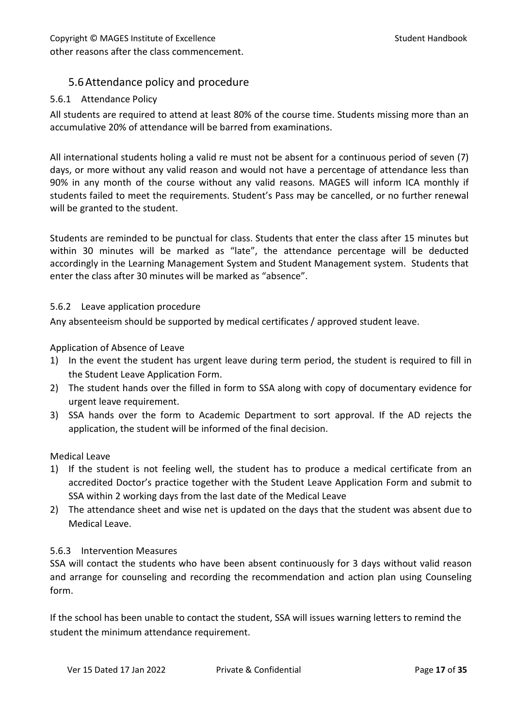# <span id="page-16-0"></span>5.6Attendance policy and procedure

## 5.6.1 Attendance Policy

All students are required to attend at least 80% of the course time. Students missing more than an accumulative 20% of attendance will be barred from examinations.

All international students holing a valid re must not be absent for a continuous period of seven (7) days, or more without any valid reason and would not have a percentage of attendance less than 90% in any month of the course without any valid reasons. MAGES will inform ICA monthly if students failed to meet the requirements. Student's Pass may be cancelled, or no further renewal will be granted to the student.

Students are reminded to be punctual for class. Students that enter the class after 15 minutes but within 30 minutes will be marked as "late", the attendance percentage will be deducted accordingly in the Learning Management System and Student Management system. Students that enter the class after 30 minutes will be marked as "absence".

#### 5.6.2 Leave application procedure

Any absenteeism should be supported by medical certificates / approved student leave.

Application of Absence of Leave

- 1) In the event the student has urgent leave during term period, the student is required to fill in the Student Leave Application Form.
- 2) The student hands over the filled in form to SSA along with copy of documentary evidence for urgent leave requirement.
- 3) SSA hands over the form to Academic Department to sort approval. If the AD rejects the application, the student will be informed of the final decision.

#### Medical Leave

- 1) If the student is not feeling well, the student has to produce a medical certificate from an accredited Doctor's practice together with the Student Leave Application Form and submit to SSA within 2 working days from the last date of the Medical Leave
- 2) The attendance sheet and wise net is updated on the days that the student was absent due to Medical Leave.

#### 5.6.3 Intervention Measures

SSA will contact the students who have been absent continuously for 3 days without valid reason and arrange for counseling and recording the recommendation and action plan using Counseling form.

If the school has been unable to contact the student, SSA will issues warning letters to remind the student the minimum attendance requirement.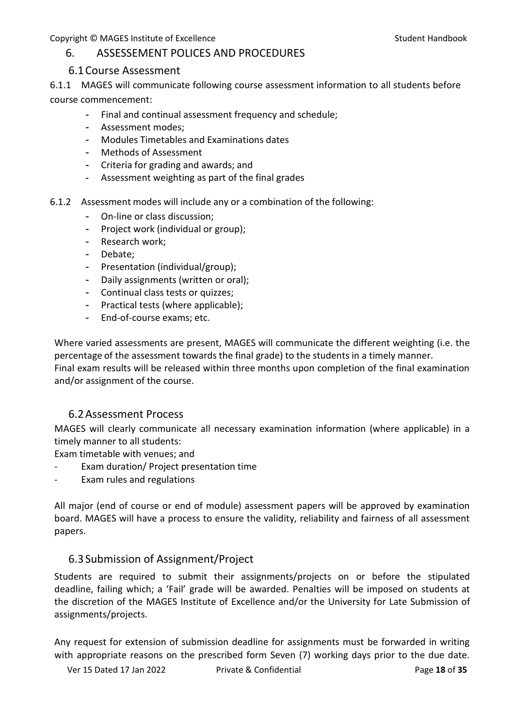## <span id="page-17-0"></span>6. ASSESSEMENT POLICES AND PROCEDURES

## 6.1Course Assessment

<span id="page-17-1"></span>6.1.1 MAGES will communicate following course assessment information to all students before course commencement:

- Final and continual assessment frequency and schedule;
- Assessment modes;
- Modules Timetables and Examinations dates
- Methods of Assessment
- Criteria for grading and awards; and
- Assessment weighting as part of the final grades
- 6.1.2 Assessment modes will include any or a combination of the following:
	- On-line or class discussion;
	- Project work (individual or group);
	- Research work;
	- Debate;
	- Presentation (individual/group);
	- Daily assignments (written or oral);
	- Continual class tests or quizzes;
	- Practical tests (where applicable);
	- End-of-course exams; etc.

Where varied assessments are present, MAGES will communicate the different weighting (i.e. the percentage of the assessment towards the final grade) to the students in a timely manner. Final exam results will be released within three months upon completion of the final examination and/or assignment of the course.

## 6.2Assessment Process

<span id="page-17-2"></span>MAGES will clearly communicate all necessary examination information (where applicable) in a timely manner to all students:

Exam timetable with venues; and

- Exam duration/ Project presentation time
- Exam rules and regulations

All major (end of course or end of module) assessment papers will be approved by examination board. MAGES will have a process to ensure the validity, reliability and fairness of all assessment papers.

## <span id="page-17-3"></span>6.3Submission of Assignment/Project

Students are required to submit their assignments/projects on or before the stipulated deadline, failing which; a 'Fail' grade will be awarded. Penalties will be imposed on students at the discretion of the MAGES Institute of Excellence and/or the University for Late Submission of assignments/projects.

Any request for extension of submission deadline for assignments must be forwarded in writing with appropriate reasons on the prescribed form Seven (7) working days prior to the due date.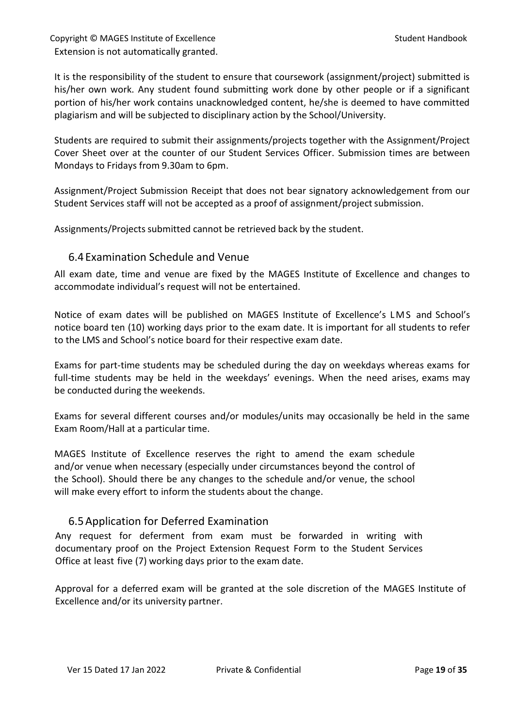Copyright © MAGES Institute of Excellence Student Handbook Student Handbook Extension is not automatically granted.

It is the responsibility of the student to ensure that coursework (assignment/project) submitted is his/her own work. Any student found submitting work done by other people or if a significant portion of his/her work contains unacknowledged content, he/she is deemed to have committed plagiarism and will be subjected to disciplinary action by the School/University.

Students are required to submit their assignments/projects together with the Assignment/Project Cover Sheet over at the counter of our Student Services Officer. Submission times are between Mondays to Fridays from 9.30am to 6pm.

Assignment/Project Submission Receipt that does not bear signatory acknowledgement from our Student Services staff will not be accepted as a proof of assignment/project submission.

Assignments/Projects submitted cannot be retrieved back by the student.

## <span id="page-18-0"></span>6.4Examination Schedule and Venue

All exam date, time and venue are fixed by the MAGES Institute of Excellence and changes to accommodate individual's request will not be entertained.

Notice of exam dates will be published on MAGES Institute of Excellence's LMS and School's notice board ten (10) working days prior to the exam date. It is important for all students to refer to the LMS and School's notice board for their respective exam date.

Exams for part-time students may be scheduled during the day on weekdays whereas exams for full-time students may be held in the weekdays' evenings. When the need arises, exams may be conducted during the weekends.

Exams for several different courses and/or modules/units may occasionally be held in the same Exam Room/Hall at a particular time.

MAGES Institute of Excellence reserves the right to amend the exam schedule and/or venue when necessary (especially under circumstances beyond the control of the School). Should there be any changes to the schedule and/or venue, the school will make every effort to inform the students about the change.

## <span id="page-18-1"></span>6.5Application for Deferred Examination

Any request for deferment from exam must be forwarded in writing with documentary proof on the Project Extension Request Form to the Student Services Office at least five (7) working days prior to the exam date.

Approval for a deferred exam will be granted at the sole discretion of the MAGES Institute of Excellence and/or its university partner.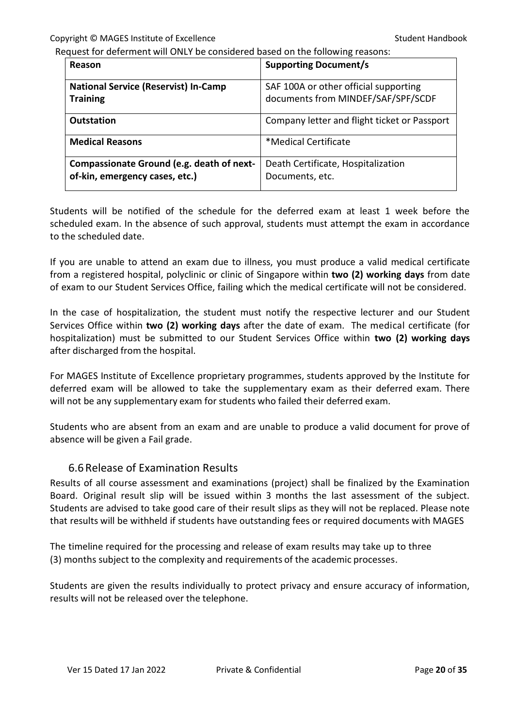Request for deferment will ONLY be considered based on the following reasons:

| Reason                                                                      | <b>Supporting Document/s</b>                                                |
|-----------------------------------------------------------------------------|-----------------------------------------------------------------------------|
| <b>National Service (Reservist) In-Camp</b><br><b>Training</b>              | SAF 100A or other official supporting<br>documents from MINDEF/SAF/SPF/SCDF |
| <b>Outstation</b>                                                           | Company letter and flight ticket or Passport                                |
| <b>Medical Reasons</b>                                                      | *Medical Certificate                                                        |
| Compassionate Ground (e.g. death of next-<br>of-kin, emergency cases, etc.) | Death Certificate, Hospitalization<br>Documents, etc.                       |

Students will be notified of the schedule for the deferred exam at least 1 week before the scheduled exam. In the absence of such approval, students must attempt the exam in accordance to the scheduled date.

If you are unable to attend an exam due to illness, you must produce a valid medical certificate from a registered hospital, polyclinic or clinic of Singapore within **two (2) working days** from date of exam to our Student Services Office, failing which the medical certificate will not be considered.

In the case of hospitalization, the student must notify the respective lecturer and our Student Services Office within **two (2) working days** after the date of exam. The medical certificate (for hospitalization) must be submitted to our Student Services Office within **two (2) working days** after discharged from the hospital.

For MAGES Institute of Excellence proprietary programmes, students approved by the Institute for deferred exam will be allowed to take the supplementary exam as their deferred exam. There will not be any supplementary exam for students who failed their deferred exam.

Students who are absent from an exam and are unable to produce a valid document for prove of absence will be given a Fail grade.

## 6.6Release of Examination Results

<span id="page-19-0"></span>Results of all course assessment and examinations (project) shall be finalized by the Examination Board. Original result slip will be issued within 3 months the last assessment of the subject. Students are advised to take good care of their result slips as they will not be replaced. Please note that results will be withheld if students have outstanding fees or required documents with MAGES

The timeline required for the processing and release of exam results may take up to three (3) months subject to the complexity and requirements of the academic processes.

Students are given the results individually to protect privacy and ensure accuracy of information, results will not be released over the telephone.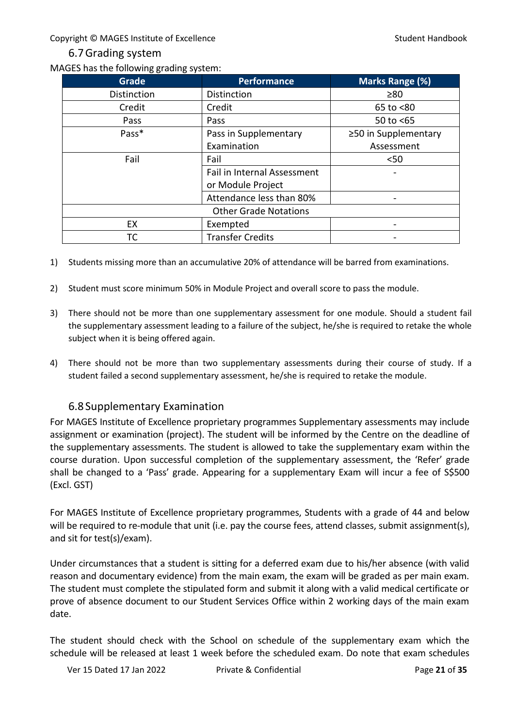## 6.7Grading system

<span id="page-20-0"></span>MAGES has the following grading system:

| <b>Grade</b>                 | <b>Performance</b>          | <b>Marks Range (%)</b> |
|------------------------------|-----------------------------|------------------------|
| <b>Distinction</b>           | <b>Distinction</b>          | $\geq 80$              |
| Credit                       | Credit                      | 65 to <80              |
| Pass                         | <b>Pass</b>                 | 50 to $<$ 65           |
| Pass*                        | Pass in Supplementary       | ≥50 in Supplementary   |
|                              | Examination                 | Assessment             |
| Fail                         | Fail                        | $50$                   |
|                              | Fail in Internal Assessment |                        |
|                              | or Module Project           |                        |
|                              | Attendance less than 80%    |                        |
| <b>Other Grade Notations</b> |                             |                        |
| EX                           | Exempted                    | -                      |
| ТC                           | <b>Transfer Credits</b>     | -                      |

- 1) Students missing more than an accumulative 20% of attendance will be barred from examinations.
- 2) Student must score minimum 50% in Module Project and overall score to pass the module.
- 3) There should not be more than one supplementary assessment for one module. Should a student fail the supplementary assessment leading to a failure of the subject, he/she is required to retake the whole subject when it is being offered again.
- 4) There should not be more than two supplementary assessments during their course of study. If a student failed a second supplementary assessment, he/she is required to retake the module.

# 6.8Supplementary Examination

<span id="page-20-1"></span>For MAGES Institute of Excellence proprietary programmes Supplementary assessments may include assignment or examination (project). The student will be informed by the Centre on the deadline of the supplementary assessments. The student is allowed to take the supplementary exam within the course duration. Upon successful completion of the supplementary assessment, the 'Refer' grade shall be changed to a 'Pass' grade. Appearing for a supplementary Exam will incur a fee of S\$500 (Excl. GST)

For MAGES Institute of Excellence proprietary programmes, Students with a grade of 44 and below will be required to re-module that unit (i.e. pay the course fees, attend classes, submit assignment(s), and sit for test(s)/exam).

Under circumstances that a student is sitting for a deferred exam due to his/her absence (with valid reason and documentary evidence) from the main exam, the exam will be graded as per main exam. The student must complete the stipulated form and submit it along with a valid medical certificate or prove of absence document to our Student Services Office within 2 working days of the main exam date.

The student should check with the School on schedule of the supplementary exam which the schedule will be released at least 1 week before the scheduled exam. Do note that exam schedules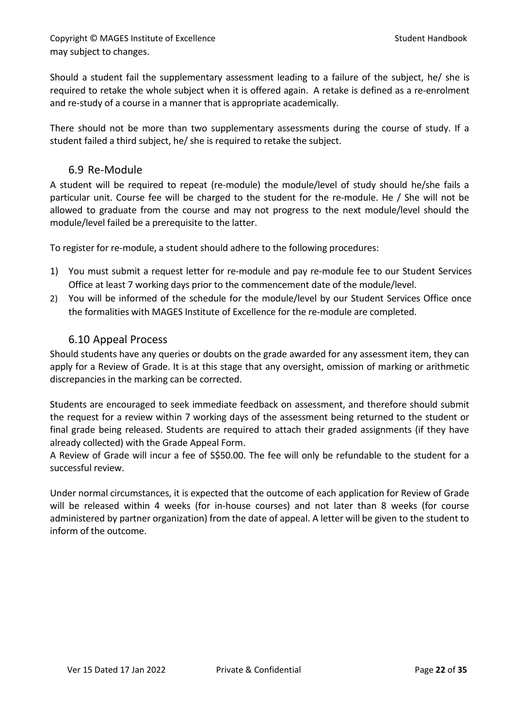Copyright © MAGES Institute of Excellence Student Handbook Student Handbook may subject to changes.

Should a student fail the supplementary assessment leading to a failure of the subject, he/ she is required to retake the whole subject when it is offered again. A retake is defined as a re-enrolment and re-study of a course in a manner that is appropriate academically.

There should not be more than two supplementary assessments during the course of study. If a student failed a third subject, he/ she is required to retake the subject.

## <span id="page-21-0"></span>6.9 Re-Module

A student will be required to repeat (re-module) the module/level of study should he/she fails a particular unit. Course fee will be charged to the student for the re-module. He / She will not be allowed to graduate from the course and may not progress to the next module/level should the module/level failed be a prerequisite to the latter.

To register for re-module, a student should adhere to the following procedures:

- 1) You must submit a request letter for re-module and pay re-module fee to our Student Services Office at least 7 working days prior to the commencement date of the module/level.
- 2) You will be informed of the schedule for the module/level by our Student Services Office once the formalities with MAGES Institute of Excellence for the re-module are completed.

## 6.10 Appeal Process

<span id="page-21-1"></span>Should students have any queries or doubts on the grade awarded for any assessment item, they can apply for a Review of Grade. It is at this stage that any oversight, omission of marking or arithmetic discrepancies in the marking can be corrected.

Students are encouraged to seek immediate feedback on assessment, and therefore should submit the request for a review within 7 working days of the assessment being returned to the student or final grade being released. Students are required to attach their graded assignments (if they have already collected) with the Grade Appeal Form.

A Review of Grade will incur a fee of S\$50.00. The fee will only be refundable to the student for a successful review.

Under normal circumstances, it is expected that the outcome of each application for Review of Grade will be released within 4 weeks (for in-house courses) and not later than 8 weeks (for course administered by partner organization) from the date of appeal. A letter will be given to the student to inform of the outcome.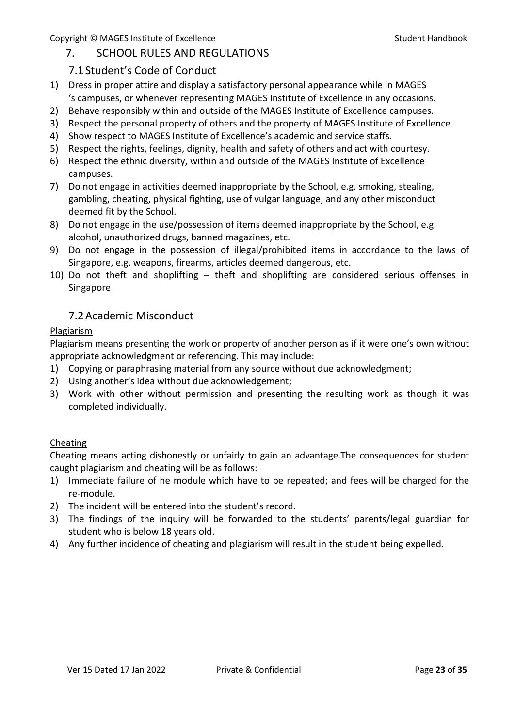# <span id="page-22-0"></span>7. SCHOOL RULES AND REGULATIONS

# 7.1Student's Code of Conduct

- <span id="page-22-1"></span>1) Dress in proper attire and display a satisfactory personal appearance while in MAGES 's campuses, or whenever representing MAGES Institute of Excellence in any occasions.
- 2) Behave responsibly within and outside of the MAGES Institute of Excellence campuses.
- 3) Respect the personal property of others and the property of MAGES Institute of Excellence
- 4) Show respect to MAGES Institute of Excellence's academic and service staffs.
- 5) Respect the rights, feelings, dignity, health and safety of others and act with courtesy.
- 6) Respect the ethnic diversity, within and outside of the MAGES Institute of Excellence campuses.
- 7) Do not engage in activities deemed inappropriate by the School, e.g. smoking, stealing, gambling, cheating, physical fighting, use of vulgar language, and any other misconduct deemed fit by the School.
- 8) Do not engage in the use/possession of items deemed inappropriate by the School, e.g. alcohol, unauthorized drugs, banned magazines, etc.
- 9) Do not engage in the possession of illegal/prohibited items in accordance to the laws of Singapore, e.g. weapons, firearms, articles deemed dangerous, etc.
- 10) Do not theft and shoplifting theft and shoplifting are considered serious offenses in Singapore

# 7.2Academic Misconduct

#### <span id="page-22-2"></span>Plagiarism

Plagiarism means presenting the work or property of another person as if it were one's own without appropriate acknowledgment or referencing. This may include:

- 1) Copying or paraphrasing material from any source without due acknowledgment;
- 2) Using another's idea without due acknowledgement;
- 3) Work with other without permission and presenting the resulting work as though it was completed individually.

#### Cheating

Cheating means acting dishonestly or unfairly to gain an advantage.The consequences for student caught plagiarism and cheating will be as follows:

- 1) Immediate failure of he module which have to be repeated; and fees will be charged for the re-module.
- 2) The incident will be entered into the student's record.
- 3) The findings of the inquiry will be forwarded to the students' parents/legal guardian for student who is below 18 years old.
- 4) Any further incidence of cheating and plagiarism will result in the student being expelled.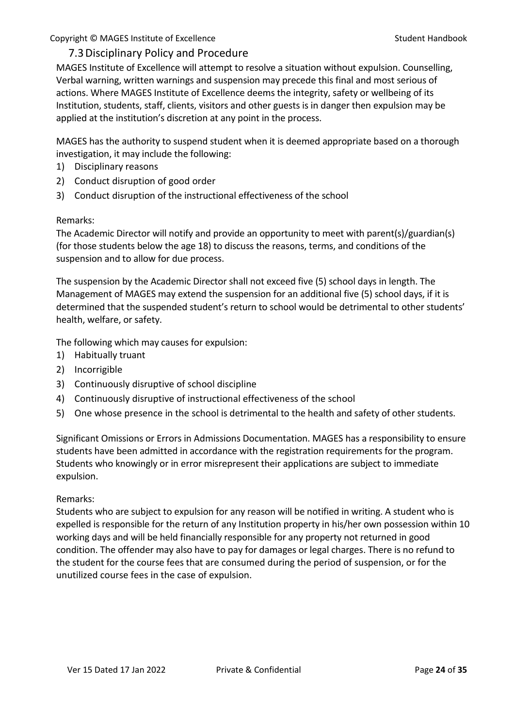## <span id="page-23-0"></span>7.3Disciplinary Policy and Procedure

MAGES Institute of Excellence will attempt to resolve a situation without expulsion. Counselling, Verbal warning, written warnings and suspension may precede this final and most serious of actions. Where MAGES Institute of Excellence deems the integrity, safety or wellbeing of its Institution, students, staff, clients, visitors and other guests is in danger then expulsion may be applied at the institution's discretion at any point in the process.

MAGES has the authority to suspend student when it is deemed appropriate based on a thorough investigation, it may include the following:

- 1) Disciplinary reasons
- 2) Conduct disruption of good order
- 3) Conduct disruption of the instructional effectiveness of the school

#### Remarks:

The Academic Director will notify and provide an opportunity to meet with parent(s)/guardian(s) (for those students below the age 18) to discuss the reasons, terms, and conditions of the suspension and to allow for due process.

The suspension by the Academic Director shall not exceed five (5) school days in length. The Management of MAGES may extend the suspension for an additional five (5) school days, if it is determined that the suspended student's return to school would be detrimental to other students' health, welfare, or safety.

The following which may causes for expulsion:

- 1) Habitually truant
- 2) Incorrigible
- 3) Continuously disruptive of school discipline
- 4) Continuously disruptive of instructional effectiveness of the school
- 5) One whose presence in the school is detrimental to the health and safety of other students.

Significant Omissions or Errors in Admissions Documentation. MAGES has a responsibility to ensure students have been admitted in accordance with the registration requirements for the program. Students who knowingly or in error misrepresent their applications are subject to immediate expulsion.

#### Remarks:

Students who are subject to expulsion for any reason will be notified in writing. A student who is expelled is responsible for the return of any Institution property in his/her own possession within 10 working days and will be held financially responsible for any property not returned in good condition. The offender may also have to pay for damages or legal charges. There is no refund to the student for the course fees that are consumed during the period of suspension, or for the unutilized course fees in the case of expulsion.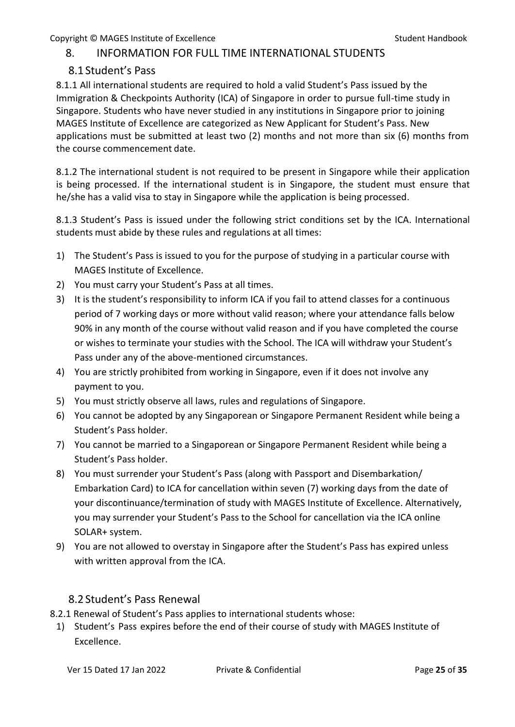# <span id="page-24-0"></span>8. INFORMATION FOR FULL TIME INTERNATIONAL STUDENTS

# 8.1 Student's Pass

<span id="page-24-1"></span>8.1.1 All international students are required to hold a valid Student's Pass issued by the Immigration & Checkpoints Authority (ICA) of Singapore in order to pursue full-time study in Singapore. Students who have never studied in any institutions in Singapore prior to joining MAGES Institute of Excellence are categorized as New Applicant for Student's Pass. New applications must be submitted at least two (2) months and not more than six (6) months from the course commencement date.

8.1.2 The international student is not required to be present in Singapore while their application is being processed. If the international student is in Singapore, the student must ensure that he/she has a valid visa to stay in Singapore while the application is being processed.

8.1.3 Student's Pass is issued under the following strict conditions set by the ICA. International students must abide by these rules and regulations at all times:

- 1) The Student's Pass is issued to you for the purpose of studying in a particular course with MAGES Institute of Excellence.
- 2) You must carry your Student's Pass at all times.
- 3) It is the student's responsibility to inform ICA if you fail to attend classes for a continuous period of 7 working days or more without valid reason; where your attendance falls below 90% in any month of the course without valid reason and if you have completed the course or wishes to terminate your studies with the School. The ICA will withdraw your Student's Pass under any of the above-mentioned circumstances.
- 4) You are strictly prohibited from working in Singapore, even if it does not involve any payment to you.
- 5) You must strictly observe all laws, rules and regulations of Singapore.
- 6) You cannot be adopted by any Singaporean or Singapore Permanent Resident while being a Student's Pass holder.
- 7) You cannot be married to a Singaporean or Singapore Permanent Resident while being a Student's Pass holder.
- 8) You must surrender your Student's Pass (along with Passport and Disembarkation/ Embarkation Card) to ICA for cancellation within seven (7) working days from the date of your discontinuance/termination of study with MAGES Institute of Excellence. Alternatively, you may surrender your Student's Pass to the School for cancellation via the ICA online SOLAR+ system.
- 9) You are not allowed to overstay in Singapore after the Student's Pass has expired unless with written approval from the ICA.

# 8.2 Student's Pass Renewal

<span id="page-24-2"></span>8.2.1 Renewal of Student's Pass applies to international students whose:

1) Student's Pass expires before the end of their course of study with MAGES Institute of Excellence.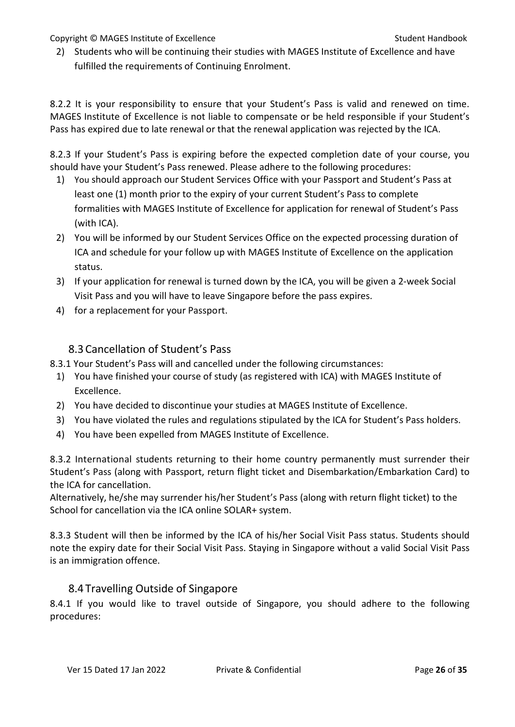2) Students who will be continuing their studies with MAGES Institute of Excellence and have fulfilled the requirements of Continuing Enrolment.

8.2.2 It is your responsibility to ensure that your Student's Pass is valid and renewed on time. MAGES Institute of Excellence is not liable to compensate or be held responsible if your Student's Pass has expired due to late renewal or that the renewal application was rejected by the ICA.

8.2.3 If your Student's Pass is expiring before the expected completion date of your course, you should have your Student's Pass renewed. Please adhere to the following procedures:

- 1) You should approach our Student Services Office with your Passport and Student's Pass at least one (1) month prior to the expiry of your current Student's Pass to complete formalities with MAGES Institute of Excellence for application for renewal of Student's Pass (with ICA).
- 2) You will be informed by our Student Services Office on the expected processing duration of ICA and schedule for your follow up with MAGES Institute of Excellence on the application status.
- 3) If your application for renewal is turned down by the ICA, you will be given a 2-week Social Visit Pass and you will have to leave Singapore before the pass expires.
- 4) for a replacement for your Passport.

# 8.3 Cancellation of Student's Pass

<span id="page-25-0"></span>8.3.1 Your Student's Pass will and cancelled under the following circumstances:

- 1) You have finished your course of study (as registered with ICA) with MAGES Institute of Excellence.
- 2) You have decided to discontinue your studies at MAGES Institute of Excellence.
- 3) You have violated the rules and regulations stipulated by the ICA for Student's Pass holders.
- 4) You have been expelled from MAGES Institute of Excellence.

8.3.2 International students returning to their home country permanently must surrender their Student's Pass (along with Passport, return flight ticket and Disembarkation/Embarkation Card) to the ICA for cancellation.

Alternatively, he/she may surrender his/her Student's Pass (along with return flight ticket) to the School for cancellation via the ICA online SOLAR+ system.

8.3.3 Student will then be informed by the ICA of his/her Social Visit Pass status. Students should note the expiry date for their Social Visit Pass. Staying in Singapore without a valid Social Visit Pass is an immigration offence.

# 8.4 Travelling Outside of Singapore

<span id="page-25-1"></span>8.4.1 If you would like to travel outside of Singapore, you should adhere to the following procedures: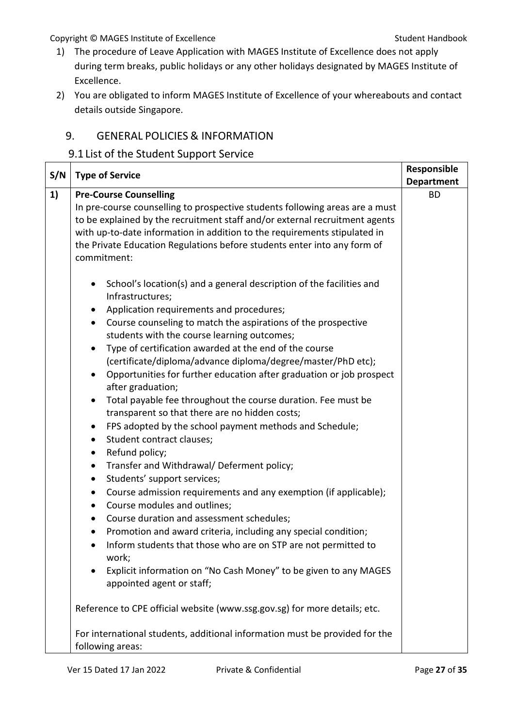- 1) The procedure of Leave Application with MAGES Institute of Excellence does not apply during term breaks, public holidays or any other holidays designated by MAGES Institute of Excellence.
- 2) You are obligated to inform MAGES Institute of Excellence of your whereabouts and contact details outside Singapore.

# <span id="page-26-0"></span>9. GENERAL POLICIES & INFORMATION

## <span id="page-26-1"></span>9.1 List of the Student Support Service

| S/N | <b>Type of Service</b>                                                                                                                                                                                                                                                                                                                                                                                                                                                                                                                                                                                                                                                                                                                                                                                                                                                                                                                                                                                                                                                                                                                                                                                                                                                                                                                                                                            | Responsible                    |
|-----|---------------------------------------------------------------------------------------------------------------------------------------------------------------------------------------------------------------------------------------------------------------------------------------------------------------------------------------------------------------------------------------------------------------------------------------------------------------------------------------------------------------------------------------------------------------------------------------------------------------------------------------------------------------------------------------------------------------------------------------------------------------------------------------------------------------------------------------------------------------------------------------------------------------------------------------------------------------------------------------------------------------------------------------------------------------------------------------------------------------------------------------------------------------------------------------------------------------------------------------------------------------------------------------------------------------------------------------------------------------------------------------------------|--------------------------------|
| 1)  | <b>Pre-Course Counselling</b>                                                                                                                                                                                                                                                                                                                                                                                                                                                                                                                                                                                                                                                                                                                                                                                                                                                                                                                                                                                                                                                                                                                                                                                                                                                                                                                                                                     | <b>Department</b><br><b>BD</b> |
|     | In pre-course counselling to prospective students following areas are a must<br>to be explained by the recruitment staff and/or external recruitment agents<br>with up-to-date information in addition to the requirements stipulated in<br>the Private Education Regulations before students enter into any form of<br>commitment:                                                                                                                                                                                                                                                                                                                                                                                                                                                                                                                                                                                                                                                                                                                                                                                                                                                                                                                                                                                                                                                               |                                |
|     | School's location(s) and a general description of the facilities and<br>$\bullet$<br>Infrastructures;<br>Application requirements and procedures;<br>٠<br>Course counseling to match the aspirations of the prospective<br>$\bullet$<br>students with the course learning outcomes;<br>Type of certification awarded at the end of the course<br>$\bullet$<br>(certificate/diploma/advance diploma/degree/master/PhD etc);<br>Opportunities for further education after graduation or job prospect<br>$\bullet$<br>after graduation;<br>Total payable fee throughout the course duration. Fee must be<br>$\bullet$<br>transparent so that there are no hidden costs;<br>FPS adopted by the school payment methods and Schedule;<br>$\bullet$<br>Student contract clauses;<br>$\bullet$<br>Refund policy;<br>$\bullet$<br>Transfer and Withdrawal/ Deferment policy;<br>$\bullet$<br>Students' support services;<br>$\bullet$<br>Course admission requirements and any exemption (if applicable);<br>$\bullet$<br>Course modules and outlines;<br>$\bullet$<br>Course duration and assessment schedules;<br>$\bullet$<br>Promotion and award criteria, including any special condition;<br>$\bullet$<br>Inform students that those who are on STP are not permitted to<br>$\bullet$<br>work;<br>Explicit information on "No Cash Money" to be given to any MAGES<br>٠<br>appointed agent or staff; |                                |
|     | Reference to CPE official website (www.ssg.gov.sg) for more details; etc.                                                                                                                                                                                                                                                                                                                                                                                                                                                                                                                                                                                                                                                                                                                                                                                                                                                                                                                                                                                                                                                                                                                                                                                                                                                                                                                         |                                |
|     | For international students, additional information must be provided for the<br>following areas:                                                                                                                                                                                                                                                                                                                                                                                                                                                                                                                                                                                                                                                                                                                                                                                                                                                                                                                                                                                                                                                                                                                                                                                                                                                                                                   |                                |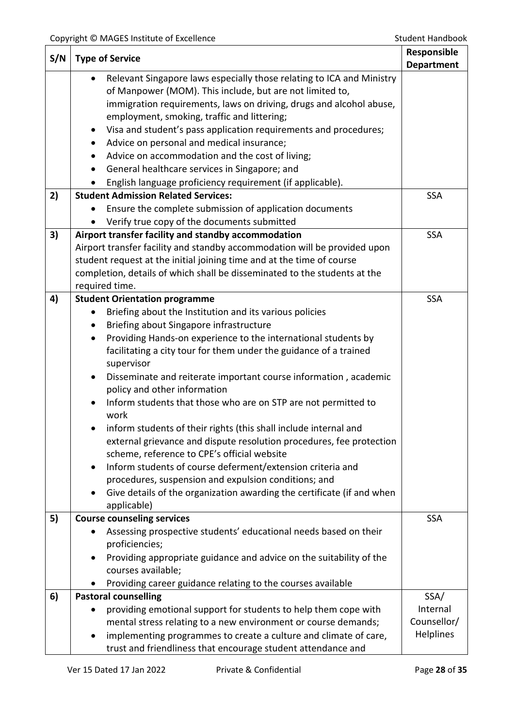| <b>Department</b><br>Relevant Singapore laws especially those relating to ICA and Ministry<br>of Manpower (MOM). This include, but are not limited to,<br>immigration requirements, laws on driving, drugs and alcohol abuse,<br>employment, smoking, traffic and littering;<br>Visa and student's pass application requirements and procedures;<br>٠<br>Advice on personal and medical insurance;<br>٠<br>Advice on accommodation and the cost of living;<br>General healthcare services in Singapore; and<br>English language proficiency requirement (if applicable).<br><b>Student Admission Related Services:</b><br>2)<br><b>SSA</b><br>Ensure the complete submission of application documents<br>Verify true copy of the documents submitted<br>Airport transfer facility and standby accommodation<br>3)<br><b>SSA</b><br>Airport transfer facility and standby accommodation will be provided upon<br>student request at the initial joining time and at the time of course<br>completion, details of which shall be disseminated to the students at the<br>required time.<br>4)<br><b>Student Orientation programme</b><br><b>SSA</b><br>Briefing about the Institution and its various policies<br>Briefing about Singapore infrastructure<br>Providing Hands-on experience to the international students by<br>$\bullet$<br>facilitating a city tour for them under the guidance of a trained<br>supervisor<br>Disseminate and reiterate important course information, academic<br>policy and other information<br>Inform students that those who are on STP are not permitted to<br>work<br>inform students of their rights (this shall include internal and<br>external grievance and dispute resolution procedures, fee protection<br>scheme, reference to CPE's official website<br>Inform students of course deferment/extension criteria and<br>$\bullet$<br>procedures, suspension and expulsion conditions; and<br>Give details of the organization awarding the certificate (if and when<br>applicable) | S/N | <b>Type of Service</b>            |            |
|-------------------------------------------------------------------------------------------------------------------------------------------------------------------------------------------------------------------------------------------------------------------------------------------------------------------------------------------------------------------------------------------------------------------------------------------------------------------------------------------------------------------------------------------------------------------------------------------------------------------------------------------------------------------------------------------------------------------------------------------------------------------------------------------------------------------------------------------------------------------------------------------------------------------------------------------------------------------------------------------------------------------------------------------------------------------------------------------------------------------------------------------------------------------------------------------------------------------------------------------------------------------------------------------------------------------------------------------------------------------------------------------------------------------------------------------------------------------------------------------------------------------------------------------------------------------------------------------------------------------------------------------------------------------------------------------------------------------------------------------------------------------------------------------------------------------------------------------------------------------------------------------------------------------------------------------------------------------------------------------------------------------------------|-----|-----------------------------------|------------|
|                                                                                                                                                                                                                                                                                                                                                                                                                                                                                                                                                                                                                                                                                                                                                                                                                                                                                                                                                                                                                                                                                                                                                                                                                                                                                                                                                                                                                                                                                                                                                                                                                                                                                                                                                                                                                                                                                                                                                                                                                               |     |                                   |            |
|                                                                                                                                                                                                                                                                                                                                                                                                                                                                                                                                                                                                                                                                                                                                                                                                                                                                                                                                                                                                                                                                                                                                                                                                                                                                                                                                                                                                                                                                                                                                                                                                                                                                                                                                                                                                                                                                                                                                                                                                                               |     |                                   |            |
|                                                                                                                                                                                                                                                                                                                                                                                                                                                                                                                                                                                                                                                                                                                                                                                                                                                                                                                                                                                                                                                                                                                                                                                                                                                                                                                                                                                                                                                                                                                                                                                                                                                                                                                                                                                                                                                                                                                                                                                                                               |     |                                   |            |
|                                                                                                                                                                                                                                                                                                                                                                                                                                                                                                                                                                                                                                                                                                                                                                                                                                                                                                                                                                                                                                                                                                                                                                                                                                                                                                                                                                                                                                                                                                                                                                                                                                                                                                                                                                                                                                                                                                                                                                                                                               |     |                                   |            |
|                                                                                                                                                                                                                                                                                                                                                                                                                                                                                                                                                                                                                                                                                                                                                                                                                                                                                                                                                                                                                                                                                                                                                                                                                                                                                                                                                                                                                                                                                                                                                                                                                                                                                                                                                                                                                                                                                                                                                                                                                               |     |                                   |            |
|                                                                                                                                                                                                                                                                                                                                                                                                                                                                                                                                                                                                                                                                                                                                                                                                                                                                                                                                                                                                                                                                                                                                                                                                                                                                                                                                                                                                                                                                                                                                                                                                                                                                                                                                                                                                                                                                                                                                                                                                                               |     |                                   |            |
|                                                                                                                                                                                                                                                                                                                                                                                                                                                                                                                                                                                                                                                                                                                                                                                                                                                                                                                                                                                                                                                                                                                                                                                                                                                                                                                                                                                                                                                                                                                                                                                                                                                                                                                                                                                                                                                                                                                                                                                                                               |     |                                   |            |
|                                                                                                                                                                                                                                                                                                                                                                                                                                                                                                                                                                                                                                                                                                                                                                                                                                                                                                                                                                                                                                                                                                                                                                                                                                                                                                                                                                                                                                                                                                                                                                                                                                                                                                                                                                                                                                                                                                                                                                                                                               |     |                                   |            |
|                                                                                                                                                                                                                                                                                                                                                                                                                                                                                                                                                                                                                                                                                                                                                                                                                                                                                                                                                                                                                                                                                                                                                                                                                                                                                                                                                                                                                                                                                                                                                                                                                                                                                                                                                                                                                                                                                                                                                                                                                               |     |                                   |            |
|                                                                                                                                                                                                                                                                                                                                                                                                                                                                                                                                                                                                                                                                                                                                                                                                                                                                                                                                                                                                                                                                                                                                                                                                                                                                                                                                                                                                                                                                                                                                                                                                                                                                                                                                                                                                                                                                                                                                                                                                                               |     |                                   |            |
|                                                                                                                                                                                                                                                                                                                                                                                                                                                                                                                                                                                                                                                                                                                                                                                                                                                                                                                                                                                                                                                                                                                                                                                                                                                                                                                                                                                                                                                                                                                                                                                                                                                                                                                                                                                                                                                                                                                                                                                                                               |     |                                   |            |
|                                                                                                                                                                                                                                                                                                                                                                                                                                                                                                                                                                                                                                                                                                                                                                                                                                                                                                                                                                                                                                                                                                                                                                                                                                                                                                                                                                                                                                                                                                                                                                                                                                                                                                                                                                                                                                                                                                                                                                                                                               |     |                                   |            |
|                                                                                                                                                                                                                                                                                                                                                                                                                                                                                                                                                                                                                                                                                                                                                                                                                                                                                                                                                                                                                                                                                                                                                                                                                                                                                                                                                                                                                                                                                                                                                                                                                                                                                                                                                                                                                                                                                                                                                                                                                               |     |                                   |            |
|                                                                                                                                                                                                                                                                                                                                                                                                                                                                                                                                                                                                                                                                                                                                                                                                                                                                                                                                                                                                                                                                                                                                                                                                                                                                                                                                                                                                                                                                                                                                                                                                                                                                                                                                                                                                                                                                                                                                                                                                                               |     |                                   |            |
|                                                                                                                                                                                                                                                                                                                                                                                                                                                                                                                                                                                                                                                                                                                                                                                                                                                                                                                                                                                                                                                                                                                                                                                                                                                                                                                                                                                                                                                                                                                                                                                                                                                                                                                                                                                                                                                                                                                                                                                                                               |     |                                   |            |
|                                                                                                                                                                                                                                                                                                                                                                                                                                                                                                                                                                                                                                                                                                                                                                                                                                                                                                                                                                                                                                                                                                                                                                                                                                                                                                                                                                                                                                                                                                                                                                                                                                                                                                                                                                                                                                                                                                                                                                                                                               |     |                                   |            |
|                                                                                                                                                                                                                                                                                                                                                                                                                                                                                                                                                                                                                                                                                                                                                                                                                                                                                                                                                                                                                                                                                                                                                                                                                                                                                                                                                                                                                                                                                                                                                                                                                                                                                                                                                                                                                                                                                                                                                                                                                               |     |                                   |            |
|                                                                                                                                                                                                                                                                                                                                                                                                                                                                                                                                                                                                                                                                                                                                                                                                                                                                                                                                                                                                                                                                                                                                                                                                                                                                                                                                                                                                                                                                                                                                                                                                                                                                                                                                                                                                                                                                                                                                                                                                                               |     |                                   |            |
|                                                                                                                                                                                                                                                                                                                                                                                                                                                                                                                                                                                                                                                                                                                                                                                                                                                                                                                                                                                                                                                                                                                                                                                                                                                                                                                                                                                                                                                                                                                                                                                                                                                                                                                                                                                                                                                                                                                                                                                                                               |     |                                   |            |
|                                                                                                                                                                                                                                                                                                                                                                                                                                                                                                                                                                                                                                                                                                                                                                                                                                                                                                                                                                                                                                                                                                                                                                                                                                                                                                                                                                                                                                                                                                                                                                                                                                                                                                                                                                                                                                                                                                                                                                                                                               |     |                                   |            |
|                                                                                                                                                                                                                                                                                                                                                                                                                                                                                                                                                                                                                                                                                                                                                                                                                                                                                                                                                                                                                                                                                                                                                                                                                                                                                                                                                                                                                                                                                                                                                                                                                                                                                                                                                                                                                                                                                                                                                                                                                               |     |                                   |            |
|                                                                                                                                                                                                                                                                                                                                                                                                                                                                                                                                                                                                                                                                                                                                                                                                                                                                                                                                                                                                                                                                                                                                                                                                                                                                                                                                                                                                                                                                                                                                                                                                                                                                                                                                                                                                                                                                                                                                                                                                                               |     |                                   |            |
|                                                                                                                                                                                                                                                                                                                                                                                                                                                                                                                                                                                                                                                                                                                                                                                                                                                                                                                                                                                                                                                                                                                                                                                                                                                                                                                                                                                                                                                                                                                                                                                                                                                                                                                                                                                                                                                                                                                                                                                                                               |     |                                   |            |
|                                                                                                                                                                                                                                                                                                                                                                                                                                                                                                                                                                                                                                                                                                                                                                                                                                                                                                                                                                                                                                                                                                                                                                                                                                                                                                                                                                                                                                                                                                                                                                                                                                                                                                                                                                                                                                                                                                                                                                                                                               |     |                                   |            |
|                                                                                                                                                                                                                                                                                                                                                                                                                                                                                                                                                                                                                                                                                                                                                                                                                                                                                                                                                                                                                                                                                                                                                                                                                                                                                                                                                                                                                                                                                                                                                                                                                                                                                                                                                                                                                                                                                                                                                                                                                               |     |                                   |            |
|                                                                                                                                                                                                                                                                                                                                                                                                                                                                                                                                                                                                                                                                                                                                                                                                                                                                                                                                                                                                                                                                                                                                                                                                                                                                                                                                                                                                                                                                                                                                                                                                                                                                                                                                                                                                                                                                                                                                                                                                                               |     |                                   |            |
|                                                                                                                                                                                                                                                                                                                                                                                                                                                                                                                                                                                                                                                                                                                                                                                                                                                                                                                                                                                                                                                                                                                                                                                                                                                                                                                                                                                                                                                                                                                                                                                                                                                                                                                                                                                                                                                                                                                                                                                                                               |     |                                   |            |
|                                                                                                                                                                                                                                                                                                                                                                                                                                                                                                                                                                                                                                                                                                                                                                                                                                                                                                                                                                                                                                                                                                                                                                                                                                                                                                                                                                                                                                                                                                                                                                                                                                                                                                                                                                                                                                                                                                                                                                                                                               |     |                                   |            |
|                                                                                                                                                                                                                                                                                                                                                                                                                                                                                                                                                                                                                                                                                                                                                                                                                                                                                                                                                                                                                                                                                                                                                                                                                                                                                                                                                                                                                                                                                                                                                                                                                                                                                                                                                                                                                                                                                                                                                                                                                               |     |                                   |            |
|                                                                                                                                                                                                                                                                                                                                                                                                                                                                                                                                                                                                                                                                                                                                                                                                                                                                                                                                                                                                                                                                                                                                                                                                                                                                                                                                                                                                                                                                                                                                                                                                                                                                                                                                                                                                                                                                                                                                                                                                                               |     |                                   |            |
|                                                                                                                                                                                                                                                                                                                                                                                                                                                                                                                                                                                                                                                                                                                                                                                                                                                                                                                                                                                                                                                                                                                                                                                                                                                                                                                                                                                                                                                                                                                                                                                                                                                                                                                                                                                                                                                                                                                                                                                                                               |     |                                   |            |
|                                                                                                                                                                                                                                                                                                                                                                                                                                                                                                                                                                                                                                                                                                                                                                                                                                                                                                                                                                                                                                                                                                                                                                                                                                                                                                                                                                                                                                                                                                                                                                                                                                                                                                                                                                                                                                                                                                                                                                                                                               |     |                                   |            |
|                                                                                                                                                                                                                                                                                                                                                                                                                                                                                                                                                                                                                                                                                                                                                                                                                                                                                                                                                                                                                                                                                                                                                                                                                                                                                                                                                                                                                                                                                                                                                                                                                                                                                                                                                                                                                                                                                                                                                                                                                               |     |                                   |            |
|                                                                                                                                                                                                                                                                                                                                                                                                                                                                                                                                                                                                                                                                                                                                                                                                                                                                                                                                                                                                                                                                                                                                                                                                                                                                                                                                                                                                                                                                                                                                                                                                                                                                                                                                                                                                                                                                                                                                                                                                                               |     |                                   |            |
|                                                                                                                                                                                                                                                                                                                                                                                                                                                                                                                                                                                                                                                                                                                                                                                                                                                                                                                                                                                                                                                                                                                                                                                                                                                                                                                                                                                                                                                                                                                                                                                                                                                                                                                                                                                                                                                                                                                                                                                                                               |     |                                   |            |
|                                                                                                                                                                                                                                                                                                                                                                                                                                                                                                                                                                                                                                                                                                                                                                                                                                                                                                                                                                                                                                                                                                                                                                                                                                                                                                                                                                                                                                                                                                                                                                                                                                                                                                                                                                                                                                                                                                                                                                                                                               | 5)  | <b>Course counseling services</b> | <b>SSA</b> |
| Assessing prospective students' educational needs based on their                                                                                                                                                                                                                                                                                                                                                                                                                                                                                                                                                                                                                                                                                                                                                                                                                                                                                                                                                                                                                                                                                                                                                                                                                                                                                                                                                                                                                                                                                                                                                                                                                                                                                                                                                                                                                                                                                                                                                              |     |                                   |            |
| proficiencies;                                                                                                                                                                                                                                                                                                                                                                                                                                                                                                                                                                                                                                                                                                                                                                                                                                                                                                                                                                                                                                                                                                                                                                                                                                                                                                                                                                                                                                                                                                                                                                                                                                                                                                                                                                                                                                                                                                                                                                                                                |     |                                   |            |
| Providing appropriate guidance and advice on the suitability of the                                                                                                                                                                                                                                                                                                                                                                                                                                                                                                                                                                                                                                                                                                                                                                                                                                                                                                                                                                                                                                                                                                                                                                                                                                                                                                                                                                                                                                                                                                                                                                                                                                                                                                                                                                                                                                                                                                                                                           |     |                                   |            |
| courses available;                                                                                                                                                                                                                                                                                                                                                                                                                                                                                                                                                                                                                                                                                                                                                                                                                                                                                                                                                                                                                                                                                                                                                                                                                                                                                                                                                                                                                                                                                                                                                                                                                                                                                                                                                                                                                                                                                                                                                                                                            |     |                                   |            |
| Providing career guidance relating to the courses available                                                                                                                                                                                                                                                                                                                                                                                                                                                                                                                                                                                                                                                                                                                                                                                                                                                                                                                                                                                                                                                                                                                                                                                                                                                                                                                                                                                                                                                                                                                                                                                                                                                                                                                                                                                                                                                                                                                                                                   |     |                                   |            |
| 6)<br><b>Pastoral counselling</b><br>SSA/                                                                                                                                                                                                                                                                                                                                                                                                                                                                                                                                                                                                                                                                                                                                                                                                                                                                                                                                                                                                                                                                                                                                                                                                                                                                                                                                                                                                                                                                                                                                                                                                                                                                                                                                                                                                                                                                                                                                                                                     |     |                                   |            |
| Internal<br>providing emotional support for students to help them cope with                                                                                                                                                                                                                                                                                                                                                                                                                                                                                                                                                                                                                                                                                                                                                                                                                                                                                                                                                                                                                                                                                                                                                                                                                                                                                                                                                                                                                                                                                                                                                                                                                                                                                                                                                                                                                                                                                                                                                   |     |                                   |            |
| Counsellor/<br>mental stress relating to a new environment or course demands;                                                                                                                                                                                                                                                                                                                                                                                                                                                                                                                                                                                                                                                                                                                                                                                                                                                                                                                                                                                                                                                                                                                                                                                                                                                                                                                                                                                                                                                                                                                                                                                                                                                                                                                                                                                                                                                                                                                                                 |     |                                   |            |
| <b>Helplines</b><br>implementing programmes to create a culture and climate of care,                                                                                                                                                                                                                                                                                                                                                                                                                                                                                                                                                                                                                                                                                                                                                                                                                                                                                                                                                                                                                                                                                                                                                                                                                                                                                                                                                                                                                                                                                                                                                                                                                                                                                                                                                                                                                                                                                                                                          |     |                                   |            |
| trust and friendliness that encourage student attendance and                                                                                                                                                                                                                                                                                                                                                                                                                                                                                                                                                                                                                                                                                                                                                                                                                                                                                                                                                                                                                                                                                                                                                                                                                                                                                                                                                                                                                                                                                                                                                                                                                                                                                                                                                                                                                                                                                                                                                                  |     |                                   |            |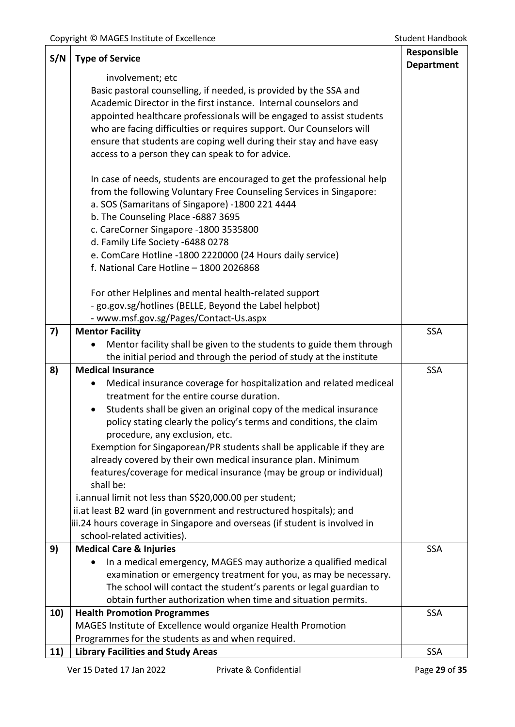| S/N | <b>Type of Service</b>                                                                                                                        | Responsible<br><b>Department</b> |
|-----|-----------------------------------------------------------------------------------------------------------------------------------------------|----------------------------------|
|     | involvement; etc                                                                                                                              |                                  |
|     | Basic pastoral counselling, if needed, is provided by the SSA and                                                                             |                                  |
|     | Academic Director in the first instance. Internal counselors and                                                                              |                                  |
|     | appointed healthcare professionals will be engaged to assist students<br>who are facing difficulties or requires support. Our Counselors will |                                  |
|     | ensure that students are coping well during their stay and have easy                                                                          |                                  |
|     | access to a person they can speak to for advice.                                                                                              |                                  |
|     |                                                                                                                                               |                                  |
|     | In case of needs, students are encouraged to get the professional help<br>from the following Voluntary Free Counseling Services in Singapore: |                                  |
|     | a. SOS (Samaritans of Singapore) -1800 221 4444                                                                                               |                                  |
|     | b. The Counseling Place -6887 3695                                                                                                            |                                  |
|     | c. CareCorner Singapore -1800 3535800                                                                                                         |                                  |
|     | d. Family Life Society -6488 0278                                                                                                             |                                  |
|     | e. ComCare Hotline -1800 2220000 (24 Hours daily service)                                                                                     |                                  |
|     | f. National Care Hotline - 1800 2026868                                                                                                       |                                  |
|     | For other Helplines and mental health-related support                                                                                         |                                  |
|     | - go.gov.sg/hotlines (BELLE, Beyond the Label helpbot)                                                                                        |                                  |
|     | - www.msf.gov.sg/Pages/Contact-Us.aspx                                                                                                        |                                  |
| 7)  | <b>Mentor Facility</b>                                                                                                                        | <b>SSA</b>                       |
|     | Mentor facility shall be given to the students to guide them through                                                                          |                                  |
|     | the initial period and through the period of study at the institute                                                                           |                                  |
| 8)  | <b>Medical Insurance</b>                                                                                                                      | <b>SSA</b>                       |
|     | Medical insurance coverage for hospitalization and related mediceal<br>treatment for the entire course duration.                              |                                  |
|     | Students shall be given an original copy of the medical insurance<br>$\bullet$                                                                |                                  |
|     | policy stating clearly the policy's terms and conditions, the claim                                                                           |                                  |
|     | procedure, any exclusion, etc.                                                                                                                |                                  |
|     | Exemption for Singaporean/PR students shall be applicable if they are                                                                         |                                  |
|     | already covered by their own medical insurance plan. Minimum                                                                                  |                                  |
|     | features/coverage for medical insurance (may be group or individual)                                                                          |                                  |
|     | shall be:                                                                                                                                     |                                  |
|     | i.annual limit not less than S\$20,000.00 per student;<br>ii.at least B2 ward (in government and restructured hospitals); and                 |                                  |
|     | iii.24 hours coverage in Singapore and overseas (if student is involved in                                                                    |                                  |
|     | school-related activities).                                                                                                                   |                                  |
| 9)  | <b>Medical Care &amp; Injuries</b>                                                                                                            | <b>SSA</b>                       |
|     | In a medical emergency, MAGES may authorize a qualified medical                                                                               |                                  |
|     | examination or emergency treatment for you, as may be necessary.                                                                              |                                  |
|     | The school will contact the student's parents or legal guardian to                                                                            |                                  |
|     | obtain further authorization when time and situation permits.                                                                                 |                                  |
| 10) | <b>Health Promotion Programmes</b>                                                                                                            | <b>SSA</b>                       |
|     | MAGES Institute of Excellence would organize Health Promotion<br>Programmes for the students as and when required.                            |                                  |
| 11) | <b>Library Facilities and Study Areas</b>                                                                                                     | <b>SSA</b>                       |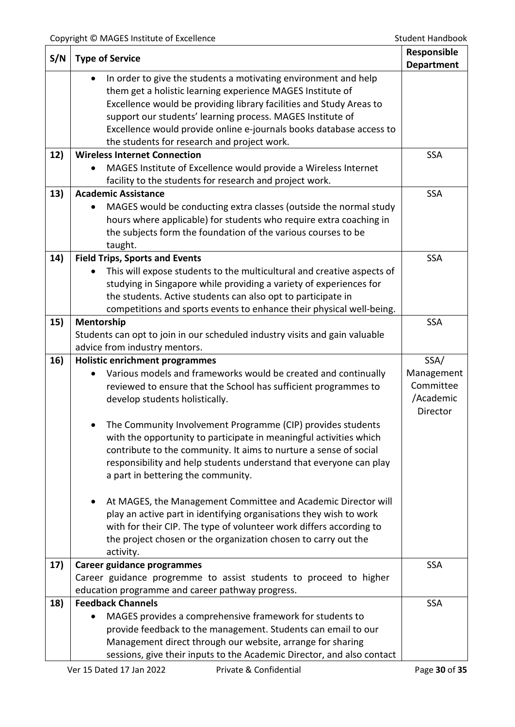| S/N | <b>Type of Service</b>                                                                                                               | Responsible       |
|-----|--------------------------------------------------------------------------------------------------------------------------------------|-------------------|
|     |                                                                                                                                      | <b>Department</b> |
|     | In order to give the students a motivating environment and help<br>$\bullet$                                                         |                   |
|     | them get a holistic learning experience MAGES Institute of                                                                           |                   |
|     | Excellence would be providing library facilities and Study Areas to                                                                  |                   |
|     | support our students' learning process. MAGES Institute of                                                                           |                   |
|     | Excellence would provide online e-journals books database access to                                                                  |                   |
| 12) | the students for research and project work.<br><b>Wireless Internet Connection</b>                                                   | <b>SSA</b>        |
|     | MAGES Institute of Excellence would provide a Wireless Internet                                                                      |                   |
|     | facility to the students for research and project work.                                                                              |                   |
| 13) | <b>Academic Assistance</b>                                                                                                           | <b>SSA</b>        |
|     | MAGES would be conducting extra classes (outside the normal study                                                                    |                   |
|     | hours where applicable) for students who require extra coaching in                                                                   |                   |
|     | the subjects form the foundation of the various courses to be                                                                        |                   |
|     | taught.                                                                                                                              |                   |
| 14) | <b>Field Trips, Sports and Events</b>                                                                                                | <b>SSA</b>        |
|     | This will expose students to the multicultural and creative aspects of                                                               |                   |
|     | studying in Singapore while providing a variety of experiences for                                                                   |                   |
|     | the students. Active students can also opt to participate in                                                                         |                   |
|     | competitions and sports events to enhance their physical well-being.                                                                 |                   |
| 15) | Mentorship                                                                                                                           | <b>SSA</b>        |
|     | Students can opt to join in our scheduled industry visits and gain valuable                                                          |                   |
|     | advice from industry mentors.                                                                                                        |                   |
| 16) | <b>Holistic enrichment programmes</b>                                                                                                |                   |
|     |                                                                                                                                      | SSA/              |
|     | Various models and frameworks would be created and continually                                                                       | Management        |
|     | reviewed to ensure that the School has sufficient programmes to                                                                      | Committee         |
|     | develop students holistically.                                                                                                       | /Academic         |
|     |                                                                                                                                      | Director          |
|     | The Community Involvement Programme (CIP) provides students                                                                          |                   |
|     | with the opportunity to participate in meaningful activities which                                                                   |                   |
|     | contribute to the community. It aims to nurture a sense of social                                                                    |                   |
|     | responsibility and help students understand that everyone can play                                                                   |                   |
|     | a part in bettering the community.                                                                                                   |                   |
|     |                                                                                                                                      |                   |
|     | At MAGES, the Management Committee and Academic Director will<br>$\bullet$                                                           |                   |
|     | play an active part in identifying organisations they wish to work                                                                   |                   |
|     | with for their CIP. The type of volunteer work differs according to                                                                  |                   |
|     | the project chosen or the organization chosen to carry out the<br>activity.                                                          |                   |
| 17) | <b>Career guidance programmes</b>                                                                                                    | <b>SSA</b>        |
|     | Career guidance progremme to assist students to proceed to higher                                                                    |                   |
|     | education programme and career pathway progress.                                                                                     |                   |
| 18) | <b>Feedback Channels</b>                                                                                                             | <b>SSA</b>        |
|     | MAGES provides a comprehensive framework for students to                                                                             |                   |
|     | provide feedback to the management. Students can email to our                                                                        |                   |
|     | Management direct through our website, arrange for sharing<br>sessions, give their inputs to the Academic Director, and also contact |                   |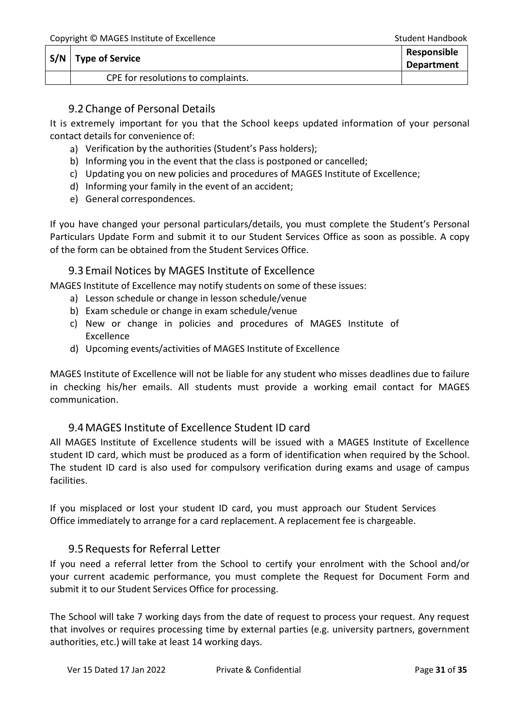| $S/N$   Type of Service            | <b>Responsible</b><br><b>Department</b> |
|------------------------------------|-----------------------------------------|
| CPE for resolutions to complaints. |                                         |

# 9.2 Change of Personal Details

<span id="page-30-0"></span>It is extremely important for you that the School keeps updated information of your personal contact details for convenience of:

- a) Verification by the authorities (Student's Pass holders);
- b) Informing you in the event that the class is postponed or cancelled;
- c) Updating you on new policies and procedures of MAGES Institute of Excellence;
- d) Informing your family in the event of an accident;
- e) General correspondences.

If you have changed your personal particulars/details, you must complete the Student's Personal Particulars Update Form and submit it to our Student Services Office as soon as possible. A copy of the form can be obtained from the Student Services Office.

## 9.3 Email Notices by MAGES Institute of Excellence

<span id="page-30-1"></span>MAGES Institute of Excellence may notify students on some of these issues:

- a) Lesson schedule or change in lesson schedule/venue
- b) Exam schedule or change in exam schedule/venue
- c) New or change in policies and procedures of MAGES Institute of Excellence
- d) Upcoming events/activities of MAGES Institute of Excellence

MAGES Institute of Excellence will not be liable for any student who misses deadlines due to failure in checking his/her emails. All students must provide a working email contact for MAGES communication.

# 9.4MAGES Institute of Excellence Student ID card

<span id="page-30-2"></span>All MAGES Institute of Excellence students will be issued with a MAGES Institute of Excellence student ID card, which must be produced as a form of identification when required by the School. The student ID card is also used for compulsory verification during exams and usage of campus facilities.

If you misplaced or lost your student ID card, you must approach our Student Services Office immediately to arrange for a card replacement. A replacement fee is chargeable.

# 9.5Requests for Referral Letter

<span id="page-30-3"></span>If you need a referral letter from the School to certify your enrolment with the School and/or your current academic performance, you must complete the Request for Document Form and submit it to our Student Services Office for processing.

The School will take 7 working days from the date of request to process your request. Any request that involves or requires processing time by external parties (e.g. university partners, government authorities, etc.) will take at least 14 working days.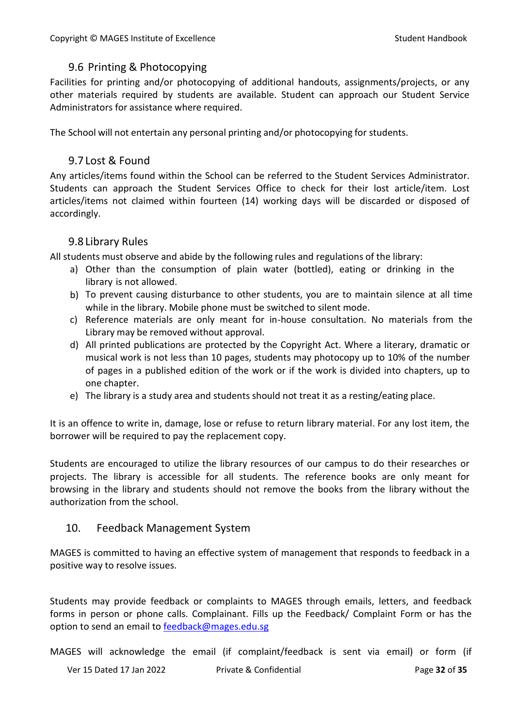# <span id="page-31-0"></span>9.6 Printing & Photocopying

Facilities for printing and/or photocopying of additional handouts, assignments/projects, or any other materials required by students are available. Student can approach our Student Service Administrators for assistance where required.

The School will not entertain any personal printing and/or photocopying for students.

# 9.7 Lost & Found

<span id="page-31-1"></span>Any articles/items found within the School can be referred to the Student Services Administrator. Students can approach the Student Services Office to check for their lost article/item. Lost articles/items not claimed within fourteen (14) working days will be discarded or disposed of accordingly.

# 9.8 Library Rules

<span id="page-31-2"></span>All students must observe and abide by the following rules and regulations of the library:

- a) Other than the consumption of plain water (bottled), eating or drinking in the library is not allowed.
- b) To prevent causing disturbance to other students, you are to maintain silence at all time while in the library. Mobile phone must be switched to silent mode.
- c) Reference materials are only meant for in-house consultation. No materials from the Library may be removed without approval.
- d) All printed publications are protected by the Copyright Act. Where a literary, dramatic or musical work is not less than 10 pages, students may photocopy up to 10% of the number of pages in a published edition of the work or if the work is divided into chapters, up to one chapter.
- e) The library is a study area and students should not treat it as a resting/eating place.

It is an offence to write in, damage, lose or refuse to return library material. For any lost item, the borrower will be required to pay the replacement copy.

Students are encouraged to utilize the library resources of our campus to do their researches or projects. The library is accessible for all students. The reference books are only meant for browsing in the library and students should not remove the books from the library without the authorization from the school.

# 10. Feedback Management System

MAGES is committed to having an effective system of management that responds to feedback in a positive way to resolve issues.

Students may provide feedback or complaints to MAGES through emails, letters, and feedback forms in person or phone calls. Complainant. Fills up the Feedback/ Complaint Form or has the option to send an email to [feedback@mages.edu.sg](mailto:feedback@mages.edu.sg)

MAGES will acknowledge the email (if complaint/feedback is sent via email) or form (if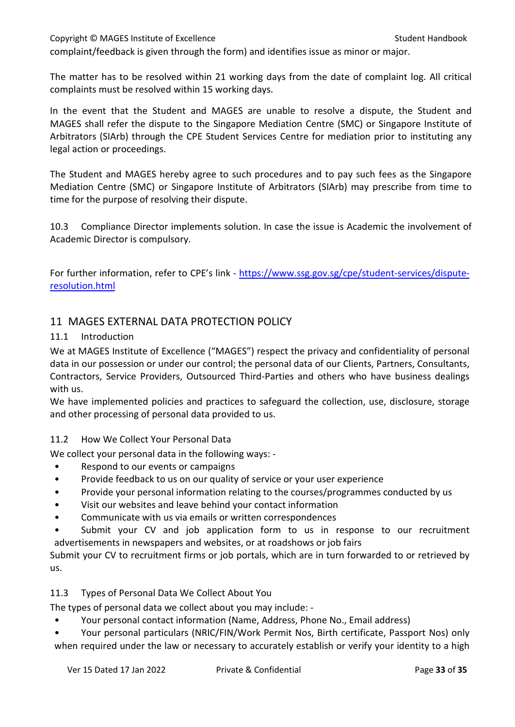Copyright © MAGES Institute of Excellence Student Handbook Student Handbook complaint/feedback is given through the form) and identifies issue as minor or major.

The matter has to be resolved within 21 working days from the date of complaint log. All critical complaints must be resolved within 15 working days.

In the event that the Student and MAGES are unable to resolve a dispute, the Student and MAGES shall refer the dispute to the Singapore Mediation Centre (SMC) or Singapore Institute of Arbitrators (SIArb) through the CPE Student Services Centre for mediation prior to instituting any legal action or proceedings.

The Student and MAGES hereby agree to such procedures and to pay such fees as the Singapore Mediation Centre (SMC) or Singapore Institute of Arbitrators (SIArb) may prescribe from time to time for the purpose of resolving their dispute.

10.3 Compliance Director implements solution. In case the issue is Academic the involvement of Academic Director is compulsory.

For further information, refer to CPE's link - [https://www.ssg.gov.sg/cpe/student-services/dispute](https://www.ssg.gov.sg/cpe/student-services/dispute-resolution.html)[resolution.html](https://www.ssg.gov.sg/cpe/student-services/dispute-resolution.html)

# <span id="page-32-0"></span>11 MAGES EXTERNAL DATA PROTECTION POLICY

#### 11.1 Introduction

We at MAGES Institute of Excellence ("MAGES") respect the privacy and confidentiality of personal data in our possession or under our control; the personal data of our Clients, Partners, Consultants, Contractors, Service Providers, Outsourced Third-Parties and others who have business dealings with us.

We have implemented policies and practices to safeguard the collection, use, disclosure, storage and other processing of personal data provided to us.

## 11.2 How We Collect Your Personal Data

We collect your personal data in the following ways: -

- Respond to our events or campaigns
- Provide feedback to us on our quality of service or your user experience
- Provide your personal information relating to the courses/programmes conducted by us
- Visit our websites and leave behind your contact information
- Communicate with us via emails or written correspondences
- Submit your CV and job application form to us in response to our recruitment advertisements in newspapers and websites, or at roadshows or job fairs

Submit your CV to recruitment firms or job portals, which are in turn forwarded to or retrieved by us.

## 11.3 Types of Personal Data We Collect About You

The types of personal data we collect about you may include: -

- Your personal contact information (Name, Address, Phone No., Email address)
- Your personal particulars (NRIC/FIN/Work Permit Nos, Birth certificate, Passport Nos) only when required under the law or necessary to accurately establish or verify your identity to a high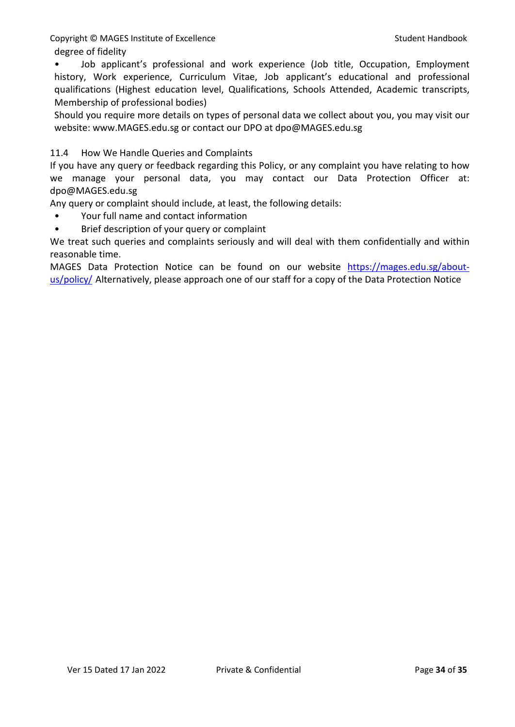degree of fidelity

• Job applicant's professional and work experience (Job title, Occupation, Employment history, Work experience, Curriculum Vitae, Job applicant's educational and professional qualifications (Highest education level, Qualifications, Schools Attended, Academic transcripts, Membership of professional bodies)

Should you require more details on types of personal data we collect about you, you may visit our website: www.MAGES.edu.sg or contact our DPO at dpo@MAGES.edu.sg

## 11.4 How We Handle Queries and Complaints

If you have any query or feedback regarding this Policy, or any complaint you have relating to how we manage your personal data, you may contact our Data Protection Officer at: dpo@MAGES.edu.sg

Any query or complaint should include, at least, the following details:

- Your full name and contact information
- Brief description of your query or complaint

We treat such queries and complaints seriously and will deal with them confidentially and within reasonable time.

MAGES Data Protection Notice can be found on our website [https://mages.edu.sg/about](https://mages.edu.sg/about-us/policy/)[us/policy/](https://mages.edu.sg/about-us/policy/) Alternatively, please approach one of our staff for a copy of the Data Protection Notice